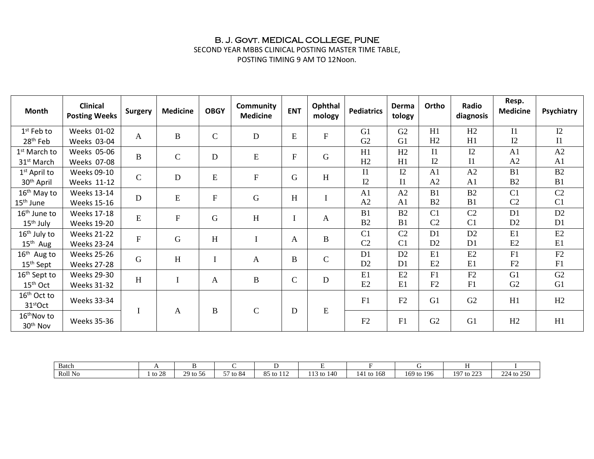#### B. J. Govt. MEDICAL COLLEGE, PUNE

SECOND YEAR MBBS CLINICAL POSTING MASTER TIME TABLE, POSTING TIMING 9 AM TO 12Noon.

**Month Clinical Surgery Medicine OBGY Community COMEN Community ENT Ophthal**<br>**Medicine ENT mology mology Pediatrics Derma tology Ortho Radio diagnosis Resp. Medicine Psychiatry** 1 st Feb to 28th Feb Weeks 01-02 Weeks 03-04 A | B | C | D | E | F G1 G2 G2 G1 H1  $H<sub>2</sub>$  $H2$  $H1$ I1  $I2$  $I2$ I1 1 st March to 31<sup>st</sup> March Weeks 05-06 Weeks 07-08  $\begin{array}{c|c|c|c|c|c|c|c|c} \hline \end{array}$  B  $\begin{array}{c|c|c|c|c} \hline \end{array}$  C  $\begin{array}{c|c|c|c} \hline \end{array}$  D  $\begin{array}{c|c|c|c} \hline \end{array}$  E  $\begin{array}{c|c|c|c} \hline \end{array}$  F  $\begin{array}{c|c|c}$  G H1  $H<sub>2</sub>$  $H<sub>2</sub>$  $H1$ I1  $I2$  $\overline{12}$ I1 A1 A2 A2 A1 1 st April to 30th April Weeks 09-10 Weeks 11-12 C D E F G H I1  $I2$  $\overline{12}$ I1 A1 A2 A2 A1 B1 B2 B2 B1 16<sup>th</sup> May to 15th June Weeks 13-14 Weeks 15-16 <sup>D</sup> <sup>E</sup> <sup>F</sup> <sup>G</sup> <sup>H</sup> <sup>I</sup> A1 A2 A2 A1  $B1$  $B2$ B2  $B1$ C1  $C<sub>2</sub>$  $\overline{C2}$ C1 16<sup>th</sup> June to 15<sup>th</sup> July Weeks 17-18 Weeks 19-20 <sup>E</sup> <sup>F</sup> <sup>G</sup> <sup>H</sup> <sup>I</sup> <sup>A</sup> B1 B2 B2 B1  $\overline{C1}$  $C<sub>2</sub>$  $\overline{C2}$  $C1$ D<sub>1</sub> D<sub>2</sub> D<sub>2</sub> D<sub>1</sub>  $16<sup>th</sup>$  July to 15<sup>th</sup> Aug Weeks 21-22 Weeks 23-24  $F$  G H I A B  $C<sub>1</sub>$  $C<sub>2</sub>$  $\overline{C2}$  $C<sub>1</sub>$  $\overline{D1}$  $D2$ D<sub>2</sub> D<sub>1</sub> E<sub>1</sub> E2 E<sub>2</sub> E1 16<sup>th</sup> Aug to 15th Sept Weeks 25-26 Weeks 27-28 G H I A B C D<sub>1</sub> D<sub>2</sub> D<sub>2</sub> D<sub>1</sub> E1 E2 E2 E1 F1 F2 F2 F1 16th Sept to 15th Oct Weeks 29-30 Weeks 31-32 H I  $A$  B  $C$  D<br>Weeks 31-32 E1 E2 E2 E1 F1 F2 F2 F1 G<sub>1</sub> G2 G2 G1 16<sup>th</sup> Oct to  $31<sup>st</sup>Oct$  Weeks 33-34  $I$  A B C D E F1 | F2 | G1 | G2 | H1 | H2 16<sup>th</sup>Nov to  $30<sup>th</sup> Nov \thinspace .0$  Weeks 35-36 F1 G2 G1 H2 H1

| Batch   |                   |          |                |                                             |                     |                          |               |                                       |                                 |
|---------|-------------------|----------|----------------|---------------------------------------------|---------------------|--------------------------|---------------|---------------------------------------|---------------------------------|
| Roll No | $\gamma$<br>to 28 | 29 to 56 | $- -$<br>to 84 | $O\subseteq$<br>.<br>$+$<br>OJ.<br>w<br>114 | 140<br>$\sim$<br>to | 168<br>4.1<br>tΩ<br>14 I | 196<br>169 to | $\sim$<br>107<br>to 22.<br>. <i>.</i> | $\Delta$ $\Delta$<br>$+$ to 250 |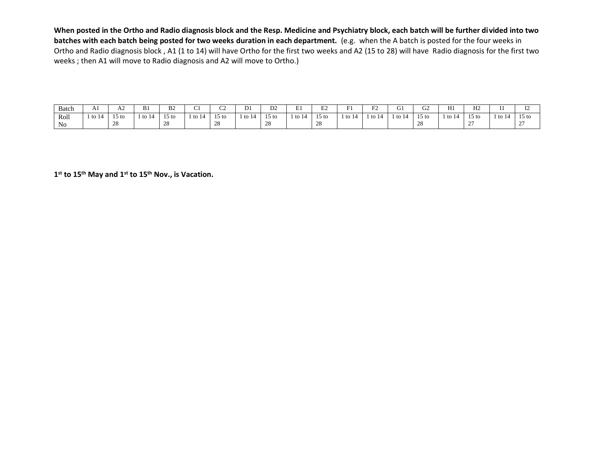**When posted in the Ortho and Radio diagnosis block and the Resp. Medicine and Psychiatry block, each batch will be further divided into two batches with each batch being posted for two weeks duration in each department.** (e.g. when the A batch is posted for the four weeks in Ortho and Radio diagnosis block , A1 (1 to 14) will have Ortho for the first two weeks and A2 (15 to 28) will have Radio diagnosis for the first two weeks ; then A1 will move to Radio diagnosis and A2 will move to Ortho.)

| Batch      | A <sub>1</sub> | AΖ                      | B1    | B <sub>2</sub>        | $\sim$<br>ັ | $\sim$<br>ັ                                        | $\mathbf{r}$<br>₽⊥ | $\mathbf{D}$<br>DΖ     | ÷.<br>. . | ⊷                                | $\sim$      | $\Gamma$<br>- 12 | $\sim$ | $\sim$<br>JZ                        | H1   | TT <sub>0</sub><br>- 12     |        | $\mathbf{r}$<br>- |
|------------|----------------|-------------------------|-------|-----------------------|-------------|----------------------------------------------------|--------------------|------------------------|-----------|----------------------------------|-------------|------------------|--------|-------------------------------------|------|-----------------------------|--------|-------------------|
| Roll<br>No | to $14$        | 15 to<br>ററ<br>$\sim$ 0 | to 14 | $15 \text{ to}$<br>∠⊙ | $\pm$ to 14 | $\sim$<br>15 <sub>to</sub><br>$\cap$<br>$\angle$ O | . to 14            | $15 \text{ to}$<br>- - | . to 14   | $15 \text{ to}$<br>$\sim$<br>້∠ບ | $\pm$ to 14 | $-1$<br>to 14    |        | 15<br>15 to<br>$\cap$<br>$\angle$ 0 | 1 to | $15 \text{ to}$<br><u>.</u> | l to 1 | 15 to<br><u>_</u> |
|            |                |                         |       |                       |             |                                                    |                    |                        |           |                                  |             |                  |        |                                     |      |                             |        |                   |

**1 st to 15th May and 1st to 15th Nov., is Vacation.**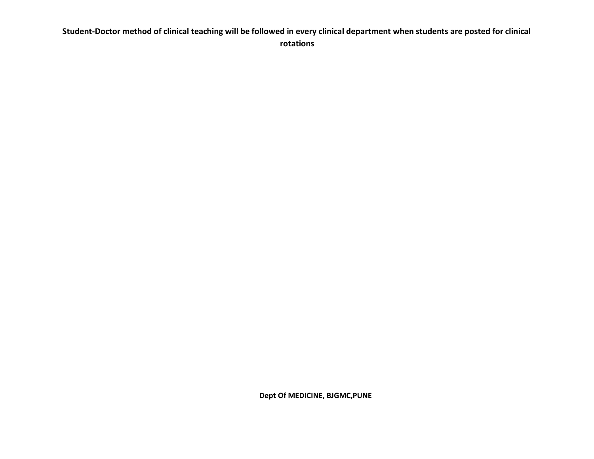#### **Student-Doctor method of clinical teaching will be followed in every clinical department when students are posted for clinical rotations**

 **Dept Of MEDICINE, BJGMC,PUNE**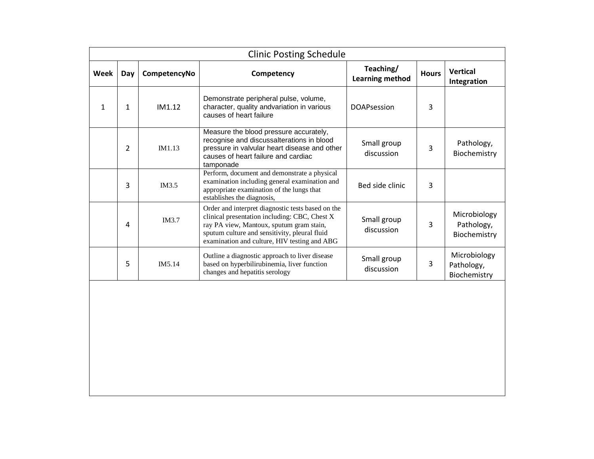|      |     |              | <b>Clinic Posting Schedule</b>                                                                                                                                                                                                                  |                              |              |                                            |
|------|-----|--------------|-------------------------------------------------------------------------------------------------------------------------------------------------------------------------------------------------------------------------------------------------|------------------------------|--------------|--------------------------------------------|
| Week | Day | CompetencyNo | Competency                                                                                                                                                                                                                                      | Teaching/<br>Learning method | <b>Hours</b> | <b>Vertical</b><br>Integration             |
| 1    | 1   | IM1.12       | Demonstrate peripheral pulse, volume,<br>character, quality andvariation in various<br>causes of heart failure                                                                                                                                  | <b>DOAPsession</b>           | 3            |                                            |
|      | 2   | IM1.13       | Measure the blood pressure accurately,<br>recognise and discussalterations in blood<br>pressure in valvular heart disease and other<br>causes of heart failure and cardiac<br>tamponade                                                         | Small group<br>discussion    | 3            | Pathology,<br>Biochemistry                 |
|      | 3   | IM3.5        | Perform, document and demonstrate a physical<br>examination including general examination and<br>appropriate examination of the lungs that<br>establishes the diagnosis,                                                                        | Bed side clinic              | 3            |                                            |
|      | 4   | <b>IM3.7</b> | Order and interpret diagnostic tests based on the<br>clinical presentation including: CBC, Chest X<br>ray PA view, Mantoux, sputum gram stain,<br>sputum culture and sensitivity, pleural fluid<br>examination and culture, HIV testing and ABG | Small group<br>discussion    | 3            | Microbiology<br>Pathology,<br>Biochemistry |
|      | 5   | IM5.14       | Outline a diagnostic approach to liver disease<br>based on hyperbilirubinemia, liver function<br>changes and hepatitis serology                                                                                                                 | Small group<br>discussion    | 3            | Microbiology<br>Pathology,<br>Biochemistry |
|      |     |              |                                                                                                                                                                                                                                                 |                              |              |                                            |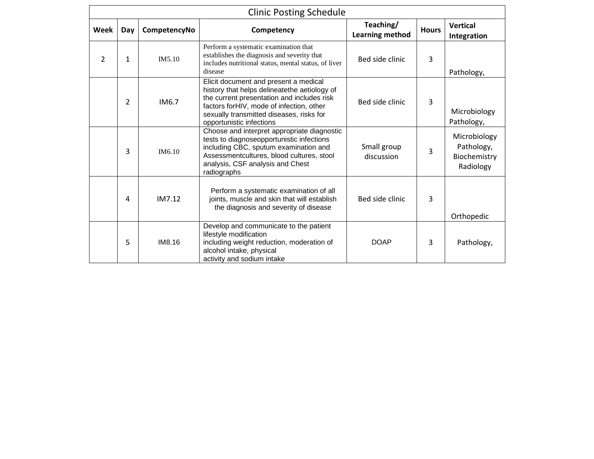|      |                |              | <b>Clinic Posting Schedule</b>                                                                                                                                                                                                                           |                              |              |                                                         |
|------|----------------|--------------|----------------------------------------------------------------------------------------------------------------------------------------------------------------------------------------------------------------------------------------------------------|------------------------------|--------------|---------------------------------------------------------|
| Week | Day            | CompetencyNo | Competency                                                                                                                                                                                                                                               | Teaching/<br>Learning method | <b>Hours</b> | <b>Vertical</b><br>Integration                          |
| 2    | 1              | IM5.10       | Perform a systematic examination that<br>establishes the diagnosis and severity that<br>includes nutritional status, mental status, of liver<br>disease                                                                                                  | Bed side clinic              | 3            | Pathology,                                              |
|      | $\overline{2}$ | IM6.7        | Elicit document and present a medical<br>history that helps delineatethe aetiology of<br>the current presentation and includes risk<br>factors for HIV, mode of infection, other<br>sexually transmitted diseases, risks for<br>opportunistic infections | Bed side clinic              | 3            | Microbiology<br>Pathology,                              |
|      | 3              | IM6.10       | Choose and interpret appropriate diagnostic<br>tests to diagnoseopportunistic infections<br>including CBC, sputum examination and<br>Assessmentcultures, blood cultures, stool<br>analysis, CSF analysis and Chest<br>radiographs                        | Small group<br>discussion    | 3            | Microbiology<br>Pathology,<br>Biochemistry<br>Radiology |
|      | 4              | IM7.12       | Perform a systematic examination of all<br>joints, muscle and skin that will establish<br>the diagnosis and severity of disease                                                                                                                          | Bed side clinic              | 3            | Orthopedic                                              |
|      | 5              | IM8.16       | Develop and communicate to the patient<br>lifestyle modification<br>including weight reduction, moderation of<br>alcohol intake, physical<br>activity and sodium intake                                                                                  | <b>DOAP</b>                  | 3            | Pathology,                                              |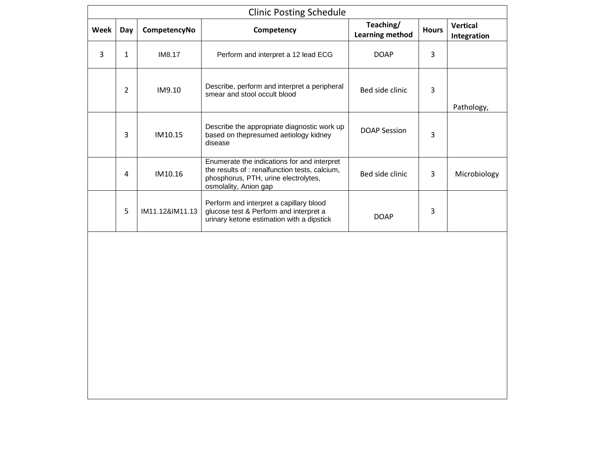|      |                |                 | <b>Clinic Posting Schedule</b>                                                                                                                                 |                              |              |                                |
|------|----------------|-----------------|----------------------------------------------------------------------------------------------------------------------------------------------------------------|------------------------------|--------------|--------------------------------|
| Week | Day            | CompetencyNo    | Competency                                                                                                                                                     | Teaching/<br>Learning method | <b>Hours</b> | <b>Vertical</b><br>Integration |
| 3    | 1              | IM8.17          | Perform and interpret a 12 lead ECG                                                                                                                            | <b>DOAP</b>                  | 3            |                                |
|      | $\overline{2}$ | IM9.10          | Describe, perform and interpret a peripheral<br>smear and stool occult blood                                                                                   | Bed side clinic              | 3            | Pathology,                     |
|      | 3              | IM10.15         | Describe the appropriate diagnostic work up<br>based on thepresumed aetiology kidney<br>disease                                                                | DOAP Session                 | 3            |                                |
|      | 4              | IM10.16         | Enumerate the indications for and interpret<br>the results of : renalfunction tests, calcium,<br>phosphorus, PTH, urine electrolytes,<br>osmolality, Anion gap | Bed side clinic              | 3            | Microbiology                   |
|      | 5              | IM11.12&IM11.13 | Perform and interpret a capillary blood<br>glucose test & Perform and interpret a<br>urinary ketone estimation with a dipstick                                 | <b>DOAP</b>                  | 3            |                                |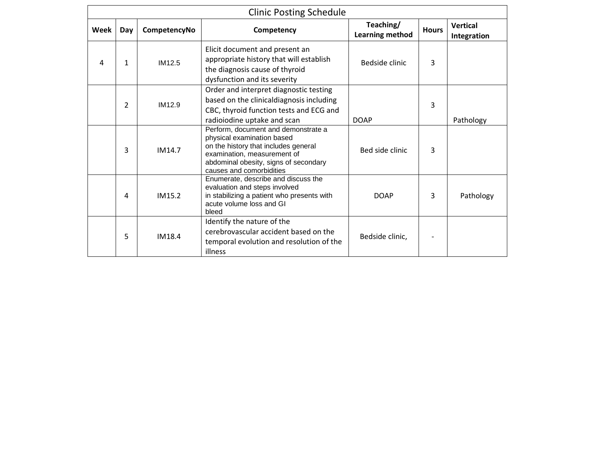|      |                |              | <b>Clinic Posting Schedule</b>                                                                                                                                                                                |                              |              |                                |
|------|----------------|--------------|---------------------------------------------------------------------------------------------------------------------------------------------------------------------------------------------------------------|------------------------------|--------------|--------------------------------|
| Week | Day            | CompetencyNo | Competency                                                                                                                                                                                                    | Teaching/<br>Learning method | <b>Hours</b> | <b>Vertical</b><br>Integration |
| 4    | $\mathbf{1}$   | IM12.5       | Elicit document and present an<br>appropriate history that will establish<br>the diagnosis cause of thyroid<br>dysfunction and its severity                                                                   | Bedside clinic               | 3            |                                |
|      | $\overline{2}$ | IM12.9       | Order and interpret diagnostic testing<br>based on the clinicaldiagnosis including<br>CBC, thyroid function tests and ECG and<br>radioiodine uptake and scan                                                  | <b>DOAP</b>                  | 3            | Pathology                      |
|      | 3              | IM14.7       | Perform, document and demonstrate a<br>physical examination based<br>on the history that includes general<br>examination, measurement of<br>abdominal obesity, signs of secondary<br>causes and comorbidities | Bed side clinic              | 3            |                                |
|      | 4              | IM15.2       | Enumerate, describe and discuss the<br>evaluation and steps involved<br>in stabilizing a patient who presents with<br>acute volume loss and GI<br>bleed                                                       | <b>DOAP</b>                  | 3            | Pathology                      |
|      | 5              | IM18.4       | Identify the nature of the<br>cerebrovascular accident based on the<br>temporal evolution and resolution of the<br>illness                                                                                    | Bedside clinic,              |              |                                |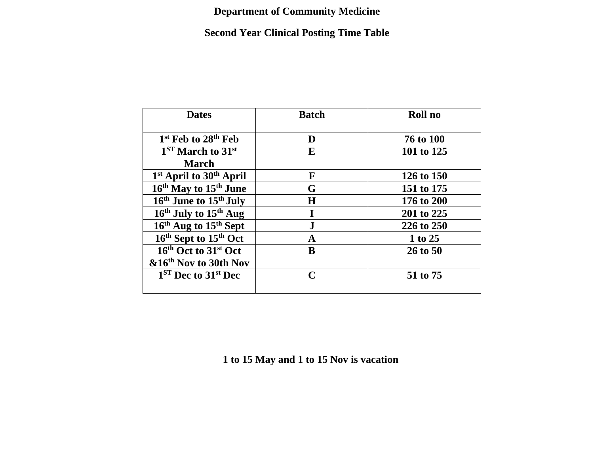#### **Department of Community Medicine**

### **Second Year Clinical Posting Time Table**

| <b>Dates</b>                                    | <b>Batch</b> | Roll no    |
|-------------------------------------------------|--------------|------------|
| 1 <sup>st</sup> Feb to 28 <sup>th</sup> Feb     | D            | 76 to 100  |
| $1ST$ March to $31st$                           | E            | 101 to 125 |
| <b>March</b>                                    |              |            |
| 1 <sup>st</sup> April to 30 <sup>th</sup> April | F            | 126 to 150 |
| 16 <sup>th</sup> May to 15 <sup>th</sup> June   | G            | 151 to 175 |
| 16 <sup>th</sup> June to 15 <sup>th</sup> July  | H            | 176 to 200 |
| 16 <sup>th</sup> July to 15 <sup>th</sup> Aug   |              | 201 to 225 |
| 16 <sup>th</sup> Aug to 15 <sup>th</sup> Sept   | ${\bf J}$    | 226 to 250 |
| 16 <sup>th</sup> Sept to 15 <sup>th</sup> Oct   | A            | 1 to 25    |
| 16th Oct to 31st Oct                            | B            | 26 to 50   |
| &16 <sup>th</sup> Nov to 30th Nov               |              |            |
| $1ST$ Dec to $31st$ Dec                         | $\mathbf C$  | 51 to 75   |

**1 to 15 May and 1 to 15 Nov is vacation**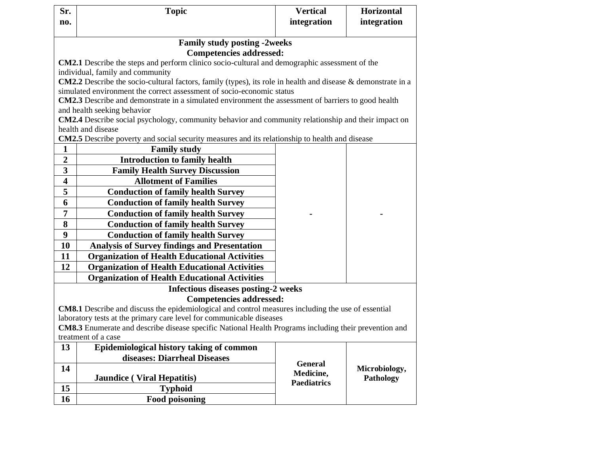| Sr.                                                                                           | <b>Topic</b>                                                                                                                       | <b>Vertical</b>    | <b>Horizontal</b> |  |  |  |  |  |  |
|-----------------------------------------------------------------------------------------------|------------------------------------------------------------------------------------------------------------------------------------|--------------------|-------------------|--|--|--|--|--|--|
| no.                                                                                           |                                                                                                                                    | integration        | integration       |  |  |  |  |  |  |
|                                                                                               | <b>Family study posting -2weeks</b>                                                                                                |                    |                   |  |  |  |  |  |  |
|                                                                                               | <b>Competencies addressed:</b>                                                                                                     |                    |                   |  |  |  |  |  |  |
| CM2.1 Describe the steps and perform clinico socio-cultural and demographic assessment of the |                                                                                                                                    |                    |                   |  |  |  |  |  |  |
|                                                                                               | individual, family and community                                                                                                   |                    |                   |  |  |  |  |  |  |
|                                                                                               | CM2.2 Describe the socio-cultural factors, family (types), its role in health and disease & demonstrate in a                       |                    |                   |  |  |  |  |  |  |
|                                                                                               | simulated environment the correct assessment of socio-economic status                                                              |                    |                   |  |  |  |  |  |  |
|                                                                                               | CM2.3 Describe and demonstrate in a simulated environment the assessment of barriers to good health<br>and health seeking behavior |                    |                   |  |  |  |  |  |  |
|                                                                                               | CM2.4 Describe social psychology, community behavior and community relationship and their impact on                                |                    |                   |  |  |  |  |  |  |
|                                                                                               | health and disease                                                                                                                 |                    |                   |  |  |  |  |  |  |
|                                                                                               | <b>CM2.5</b> Describe poverty and social security measures and its relationship to health and disease                              |                    |                   |  |  |  |  |  |  |
| $\mathbf{1}$                                                                                  | <b>Family study</b>                                                                                                                |                    |                   |  |  |  |  |  |  |
| $\overline{2}$                                                                                | <b>Introduction to family health</b>                                                                                               |                    |                   |  |  |  |  |  |  |
| $\overline{\mathbf{3}}$                                                                       | <b>Family Health Survey Discussion</b>                                                                                             |                    |                   |  |  |  |  |  |  |
| $\overline{\mathbf{4}}$                                                                       | <b>Allotment of Families</b>                                                                                                       |                    |                   |  |  |  |  |  |  |
| 5                                                                                             | <b>Conduction of family health Survey</b>                                                                                          |                    |                   |  |  |  |  |  |  |
| 6                                                                                             | <b>Conduction of family health Survey</b>                                                                                          |                    |                   |  |  |  |  |  |  |
| $\overline{7}$                                                                                | <b>Conduction of family health Survey</b>                                                                                          |                    |                   |  |  |  |  |  |  |
| 8                                                                                             | <b>Conduction of family health Survey</b>                                                                                          |                    |                   |  |  |  |  |  |  |
| 9                                                                                             | <b>Conduction of family health Survey</b>                                                                                          |                    |                   |  |  |  |  |  |  |
| 10                                                                                            | <b>Analysis of Survey findings and Presentation</b>                                                                                |                    |                   |  |  |  |  |  |  |
| 11                                                                                            | <b>Organization of Health Educational Activities</b>                                                                               |                    |                   |  |  |  |  |  |  |
| 12                                                                                            | <b>Organization of Health Educational Activities</b>                                                                               |                    |                   |  |  |  |  |  |  |
|                                                                                               | <b>Organization of Health Educational Activities</b>                                                                               |                    |                   |  |  |  |  |  |  |
|                                                                                               | <b>Infectious diseases posting-2 weeks</b>                                                                                         |                    |                   |  |  |  |  |  |  |
|                                                                                               | <b>Competencies addressed:</b>                                                                                                     |                    |                   |  |  |  |  |  |  |
|                                                                                               | CM8.1 Describe and discuss the epidemiological and control measures including the use of essential                                 |                    |                   |  |  |  |  |  |  |
|                                                                                               | laboratory tests at the primary care level for communicable diseases                                                               |                    |                   |  |  |  |  |  |  |
|                                                                                               | CM8.3 Enumerate and describe disease specific National Health Programs including their prevention and<br>treatment of a case       |                    |                   |  |  |  |  |  |  |
| 13                                                                                            | Epidemiological history taking of common                                                                                           |                    |                   |  |  |  |  |  |  |
|                                                                                               | diseases: Diarrheal Diseases                                                                                                       |                    |                   |  |  |  |  |  |  |
| 14                                                                                            |                                                                                                                                    | <b>General</b>     | Microbiology,     |  |  |  |  |  |  |
|                                                                                               | <b>Jaundice</b> (Viral Hepatitis)                                                                                                  | Medicine,          | Pathology         |  |  |  |  |  |  |
| 15                                                                                            | <b>Typhoid</b>                                                                                                                     | <b>Paediatrics</b> |                   |  |  |  |  |  |  |
| 16                                                                                            | <b>Food poisoning</b>                                                                                                              |                    |                   |  |  |  |  |  |  |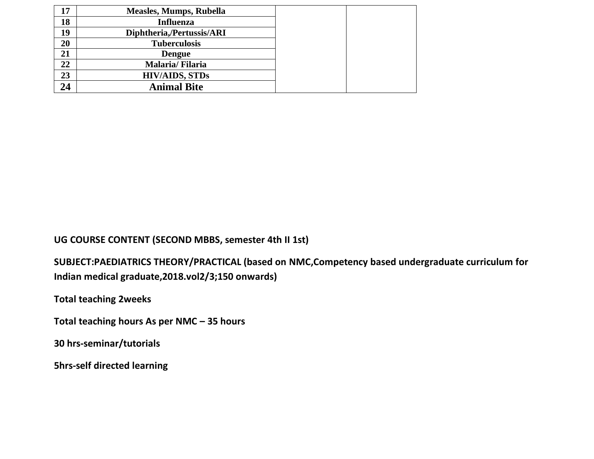| 17 | <b>Measles, Mumps, Rubella</b> |
|----|--------------------------------|
| 18 | <b>Influenza</b>               |
| 19 | Diphtheria,/Pertussis/ARI      |
| 20 | <b>Tuberculosis</b>            |
| 21 | <b>Dengue</b>                  |
| 22 | Malaria/Filaria                |
| 23 | <b>HIV/AIDS, STDs</b>          |
| 24 | <b>Animal Bite</b>             |

**UG COURSE CONTENT (SECOND MBBS, semester 4th II 1st)**

**SUBJECT:PAEDIATRICS THEORY/PRACTICAL (based on NMC,Competency based undergraduate curriculum for Indian medical graduate,2018.vol2/3;150 onwards)**

**Total teaching 2weeks**

**Total teaching hours As per NMC – 35 hours**

**30 hrs-seminar/tutorials**

**5hrs-self directed learning**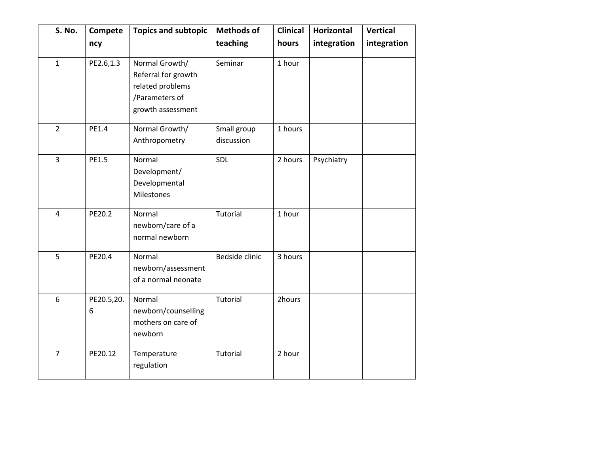| S. No.         | Compete         | <b>Topics and subtopic</b>                                                                       | <b>Methods of</b>         | <b>Clinical</b> | <b>Horizontal</b> | <b>Vertical</b> |
|----------------|-----------------|--------------------------------------------------------------------------------------------------|---------------------------|-----------------|-------------------|-----------------|
|                | ncy             |                                                                                                  | teaching                  | hours           | integration       | integration     |
| $\mathbf{1}$   | PE2.6,1.3       | Normal Growth/<br>Referral for growth<br>related problems<br>/Parameters of<br>growth assessment | Seminar                   | 1 hour          |                   |                 |
| $\overline{2}$ | PE1.4           | Normal Growth/<br>Anthropometry                                                                  | Small group<br>discussion | 1 hours         |                   |                 |
| 3              | PE1.5           | Normal<br>Development/<br>Developmental<br>Milestones                                            | SDL                       | 2 hours         | Psychiatry        |                 |
| $\overline{4}$ | PE20.2          | Normal<br>newborn/care of a<br>normal newborn                                                    | Tutorial                  | 1 hour          |                   |                 |
| 5              | PE20.4          | Normal<br>newborn/assessment<br>of a normal neonate                                              | Bedside clinic            | 3 hours         |                   |                 |
| 6              | PE20.5,20.<br>6 | Normal<br>newborn/counselling<br>mothers on care of<br>newborn                                   | Tutorial                  | 2hours          |                   |                 |
| $\overline{7}$ | PE20.12         | Temperature<br>regulation                                                                        | Tutorial                  | 2 hour          |                   |                 |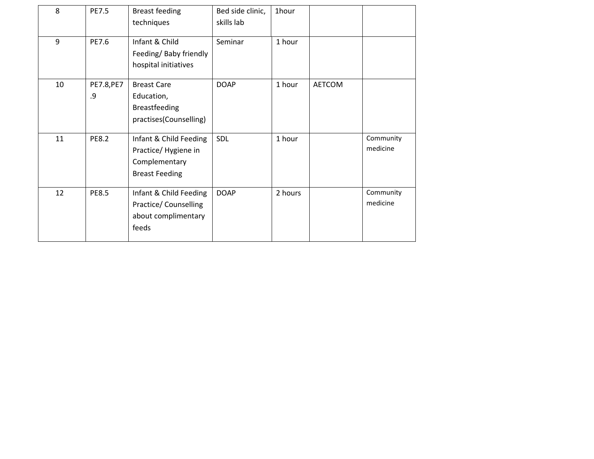| 8  | <b>PE7.5</b>     | <b>Breast feeding</b><br>techniques                                                     | Bed side clinic,<br>skills lab | 1hour   |               |                       |
|----|------------------|-----------------------------------------------------------------------------------------|--------------------------------|---------|---------------|-----------------------|
| 9  | PE7.6            | Infant & Child<br>Feeding/ Baby friendly<br>hospital initiatives                        | Seminar                        | 1 hour  |               |                       |
| 10 | PE7.8, PE7<br>.9 | <b>Breast Care</b><br>Education,<br><b>Breastfeeding</b><br>practises(Counselling)      | <b>DOAP</b>                    | 1 hour  | <b>AETCOM</b> |                       |
| 11 | <b>PE8.2</b>     | Infant & Child Feeding<br>Practice/Hygiene in<br>Complementary<br><b>Breast Feeding</b> | SDL                            | 1 hour  |               | Community<br>medicine |
| 12 | <b>PE8.5</b>     | Infant & Child Feeding<br>Practice/ Counselling<br>about complimentary<br>feeds         | <b>DOAP</b>                    | 2 hours |               | Community<br>medicine |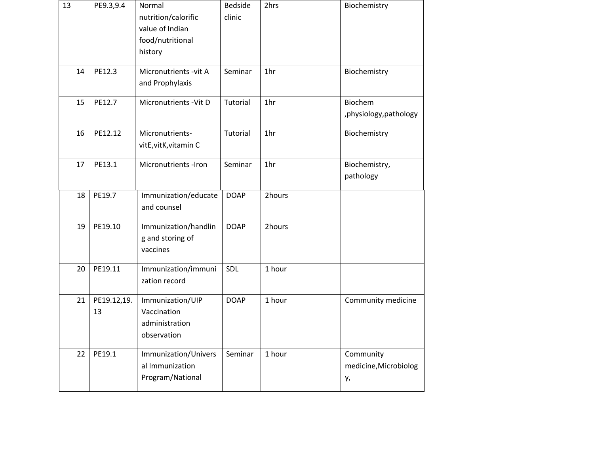| 13 | PE9.3,9.4         | Normal<br>nutrition/calorific<br>value of Indian<br>food/nutritional<br>history | <b>Bedside</b><br>clinic | 2hrs   | Biochemistry                             |
|----|-------------------|---------------------------------------------------------------------------------|--------------------------|--------|------------------------------------------|
| 14 | PE12.3            | Micronutrients - vit A<br>and Prophylaxis                                       | Seminar                  | 1hr    | Biochemistry                             |
| 15 | PE12.7            | Micronutrients - Vit D                                                          | Tutorial                 | 1hr    | Biochem<br>, physiology, pathology       |
| 16 | PE12.12           | Micronutrients-<br>vitE, vitK, vitamin C                                        | Tutorial                 | 1hr    | Biochemistry                             |
| 17 | PE13.1            | Micronutrients -Iron                                                            | Seminar                  | 1hr    | Biochemistry,<br>pathology               |
| 18 | PE19.7            | Immunization/educate<br>and counsel                                             | <b>DOAP</b>              | 2hours |                                          |
| 19 | PE19.10           | Immunization/handlin<br>g and storing of<br>vaccines                            | <b>DOAP</b>              | 2hours |                                          |
| 20 | PE19.11           | Immunization/immuni<br>zation record                                            | SDL                      | 1 hour |                                          |
| 21 | PE19.12,19.<br>13 | Immunization/UIP<br>Vaccination<br>administration<br>observation                | <b>DOAP</b>              | 1 hour | Community medicine                       |
| 22 | PE19.1            | Immunization/Univers<br>al Immunization<br>Program/National                     | Seminar                  | 1 hour | Community<br>medicine, Microbiolog<br>у, |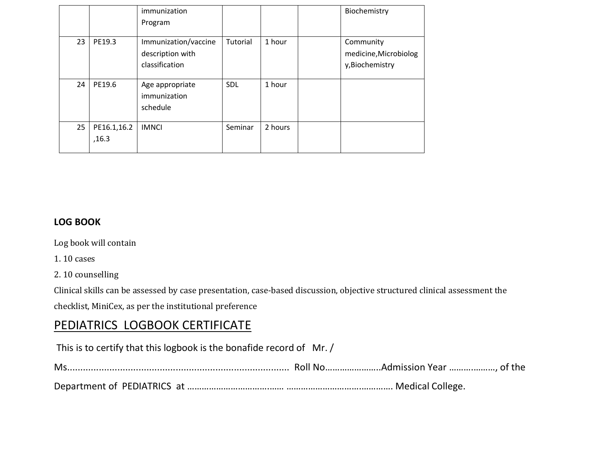|    |                      | immunization<br>Program                                    |            |         | Biochemistry                                          |
|----|----------------------|------------------------------------------------------------|------------|---------|-------------------------------------------------------|
| 23 | PE19.3               | Immunization/vaccine<br>description with<br>classification | Tutorial   | 1 hour  | Community<br>medicine, Microbiolog<br>y, Biochemistry |
| 24 | PE19.6               | Age appropriate<br>immunization<br>schedule                | <b>SDL</b> | 1 hour  |                                                       |
| 25 | PE16.1,16.2<br>,16.3 | <b>IMNCI</b>                                               | Seminar    | 2 hours |                                                       |

#### **LOG BOOK**

Log book will contain

1. 10 cases

2. 10 counselling

Clinical skills can be assessed by case presentation, case-based discussion, objective structured clinical assessment the checklist, MiniCex, as per the institutional preference

#### PEDIATRICS LOGBOOK CERTIFICATE

This is to certify that this logbook is the bonafide record of Mr. / Ms.................................................................................... Roll No…………………..Admission Year ……….………, of the

Department of PEDIATRICS at …………………………….…… ………………………….…………. Medical College.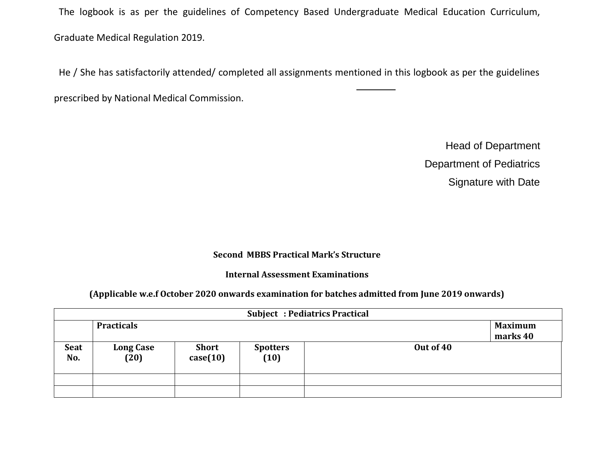The logbook is as per the guidelines of Competency Based Undergraduate Medical Education Curriculum, Graduate Medical Regulation 2019.

He / She has satisfactorily attended/ completed all assignments mentioned in this logbook as per the guidelines

prescribed by National Medical Commission.

Head of Department Department of Pediatrics Signature with Date

#### **Second MBBS Practical Mark's Structure**

#### **Internal Assessment Examinations**

#### **(Applicable w.e.f October 2020 onwards examination for batches admitted from June 2019 onwards)**

|                    | <b>Subject: Pediatrics Practical</b> |                          |                         |           |                            |  |  |  |  |
|--------------------|--------------------------------------|--------------------------|-------------------------|-----------|----------------------------|--|--|--|--|
|                    | <b>Practicals</b>                    |                          |                         |           | <b>Maximum</b><br>marks 40 |  |  |  |  |
| <b>Seat</b><br>No. | <b>Long Case</b><br>(20)             | <b>Short</b><br>case(10) | <b>Spotters</b><br>(10) | Out of 40 |                            |  |  |  |  |
|                    |                                      |                          |                         |           |                            |  |  |  |  |
|                    |                                      |                          |                         |           |                            |  |  |  |  |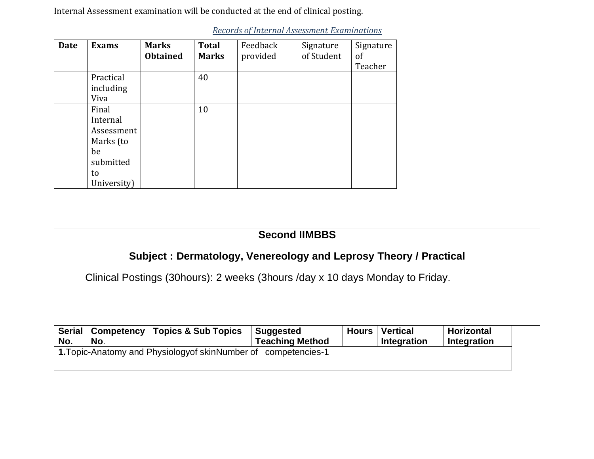Internal Assessment examination will be conducted at the end of clinical posting.

| <b>Date</b> | <b>Exams</b> | <b>Marks</b><br><b>Obtained</b> | <b>Total</b><br><b>Marks</b> | Feedback<br>provided | Signature<br>of Student | Signature<br>of |
|-------------|--------------|---------------------------------|------------------------------|----------------------|-------------------------|-----------------|
|             |              |                                 |                              |                      |                         | Teacher         |
|             | Practical    |                                 | 40                           |                      |                         |                 |
|             | including    |                                 |                              |                      |                         |                 |
|             | Viva         |                                 |                              |                      |                         |                 |
|             | Final        |                                 | 10                           |                      |                         |                 |
|             | Internal     |                                 |                              |                      |                         |                 |
|             | Assessment   |                                 |                              |                      |                         |                 |
|             | Marks (to    |                                 |                              |                      |                         |                 |
|             | be           |                                 |                              |                      |                         |                 |
|             | submitted    |                                 |                              |                      |                         |                 |
|             | to           |                                 |                              |                      |                         |                 |
|             | University)  |                                 |                              |                      |                         |                 |

*Records of Internal Assessment Examinations*

|               | <b>Second IIMBBS</b>                                                             |                                |                        |              |                    |                   |  |  |
|---------------|----------------------------------------------------------------------------------|--------------------------------|------------------------|--------------|--------------------|-------------------|--|--|
|               | Subject: Dermatology, Venereology and Leprosy Theory / Practical                 |                                |                        |              |                    |                   |  |  |
|               | Clinical Postings (30 hours): 2 weeks (3 hours / day x 10 days Monday to Friday. |                                |                        |              |                    |                   |  |  |
|               |                                                                                  |                                |                        |              |                    |                   |  |  |
|               |                                                                                  |                                |                        |              |                    |                   |  |  |
| <b>Serial</b> | Competency                                                                       | <b>Topics &amp; Sub Topics</b> | <b>Suggested</b>       | <b>Hours</b> | <b>Vertical</b>    | <b>Horizontal</b> |  |  |
| No.           | No.                                                                              |                                | <b>Teaching Method</b> |              | <b>Integration</b> | Integration       |  |  |
|               | 1. Topic-Anatomy and Physiology of skin Number of competencies-1                 |                                |                        |              |                    |                   |  |  |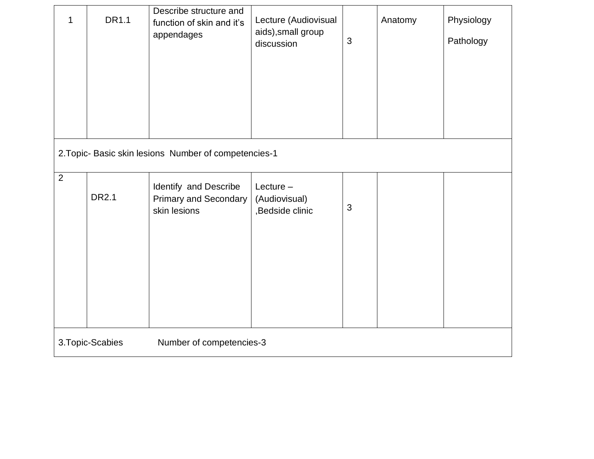| 1                                            | <b>DR1.1</b>                                          | Describe structure and<br>function of skin and it's<br>appendages     | Lecture (Audiovisual<br>aids), small group<br>discussion | $\mathfrak{S}$ | Anatomy | Physiology<br>Pathology |  |  |  |
|----------------------------------------------|-------------------------------------------------------|-----------------------------------------------------------------------|----------------------------------------------------------|----------------|---------|-------------------------|--|--|--|
|                                              | 2. Topic- Basic skin lesions Number of competencies-1 |                                                                       |                                                          |                |         |                         |  |  |  |
| $\overline{2}$                               | <b>DR2.1</b>                                          | Identify and Describe<br><b>Primary and Secondary</b><br>skin lesions | Lecture $-$<br>(Audiovisual)<br>,Bedside clinic          | $\mathfrak{B}$ |         |                         |  |  |  |
| 3. Topic-Scabies<br>Number of competencies-3 |                                                       |                                                                       |                                                          |                |         |                         |  |  |  |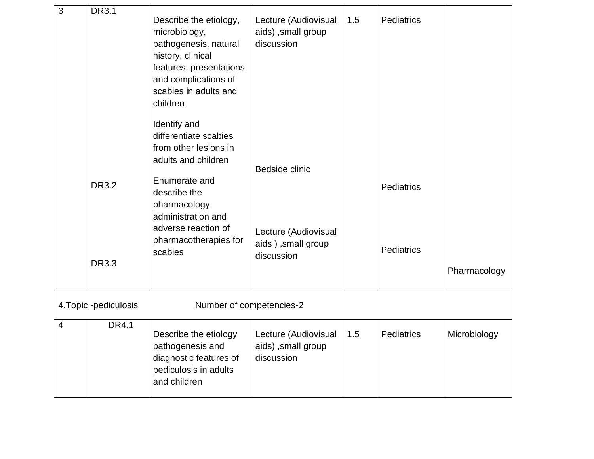| 3              | <b>DR3.1</b>                 |                                                                                                                                                                                                                          |                                                                            |     |                                 |              |
|----------------|------------------------------|--------------------------------------------------------------------------------------------------------------------------------------------------------------------------------------------------------------------------|----------------------------------------------------------------------------|-----|---------------------------------|--------------|
|                |                              | Describe the etiology,<br>microbiology,<br>pathogenesis, natural<br>history, clinical<br>features, presentations<br>and complications of<br>scabies in adults and<br>children                                            | Lecture (Audiovisual<br>aids), small group<br>discussion                   | 1.5 | <b>Pediatrics</b>               |              |
|                | <b>DR3.2</b><br><b>DR3.3</b> | Identify and<br>differentiate scabies<br>from other lesions in<br>adults and children<br>Enumerate and<br>describe the<br>pharmacology,<br>administration and<br>adverse reaction of<br>pharmacotherapies for<br>scabies | Bedside clinic<br>Lecture (Audiovisual<br>aids), small group<br>discussion |     | <b>Pediatrics</b><br>Pediatrics | Pharmacology |
|                |                              |                                                                                                                                                                                                                          |                                                                            |     |                                 |              |
|                | 4. Topic -pediculosis        | Number of competencies-2                                                                                                                                                                                                 |                                                                            |     |                                 |              |
| $\overline{4}$ | DR4.1                        | Describe the etiology<br>pathogenesis and<br>diagnostic features of<br>pediculosis in adults<br>and children                                                                                                             | Lecture (Audiovisual<br>aids), small group<br>discussion                   | 1.5 | Pediatrics                      | Microbiology |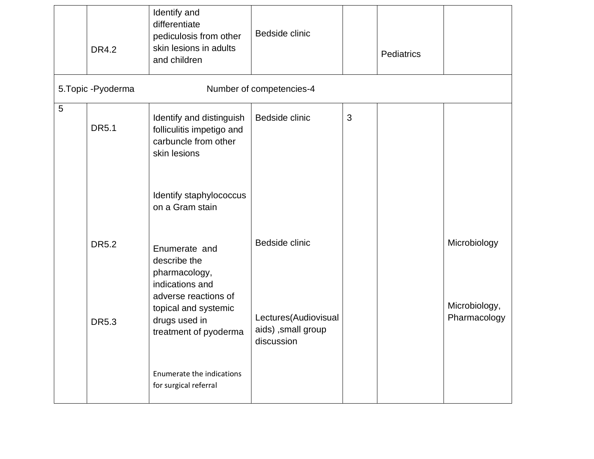|   | <b>DR4.2</b>        | Identify and<br>differentiate<br>pediculosis from other<br>skin lesions in adults<br>and children | Bedside clinic                                           |   | Pediatrics |                               |  |
|---|---------------------|---------------------------------------------------------------------------------------------------|----------------------------------------------------------|---|------------|-------------------------------|--|
|   | 5. Topic - Pyoderma |                                                                                                   | Number of competencies-4                                 |   |            |                               |  |
| 5 | <b>DR5.1</b>        | Identify and distinguish<br>folliculitis impetigo and<br>carbuncle from other<br>skin lesions     | Bedside clinic                                           | 3 |            |                               |  |
|   |                     | Identify staphylococcus<br>on a Gram stain                                                        |                                                          |   |            |                               |  |
|   | <b>DR5.2</b>        | Enumerate and<br>describe the<br>pharmacology,<br>indications and                                 | Bedside clinic                                           |   |            | Microbiology                  |  |
|   | <b>DR5.3</b>        | adverse reactions of<br>topical and systemic<br>drugs used in<br>treatment of pyoderma            | Lectures(Audiovisual<br>aids), small group<br>discussion |   |            | Microbiology,<br>Pharmacology |  |
|   |                     | Enumerate the indications<br>for surgical referral                                                |                                                          |   |            |                               |  |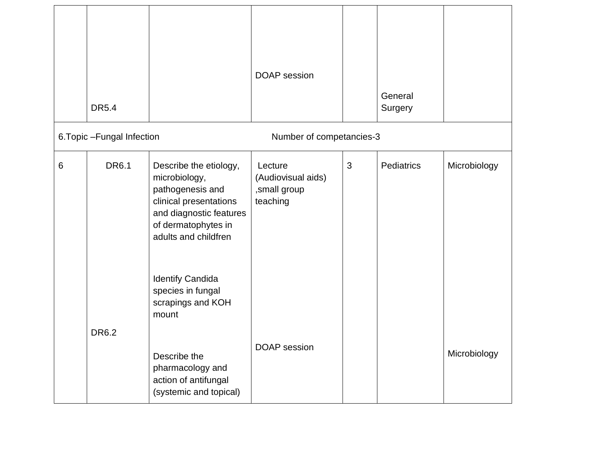|   | <b>DR5.4</b>                |                                                                                                                                                                 | <b>DOAP</b> session                                       |   | General<br>Surgery |              |
|---|-----------------------------|-----------------------------------------------------------------------------------------------------------------------------------------------------------------|-----------------------------------------------------------|---|--------------------|--------------|
|   | 6. Topic - Fungal Infection |                                                                                                                                                                 | Number of competancies-3                                  |   |                    |              |
| 6 | <b>DR6.1</b>                | Describe the etiology,<br>microbiology,<br>pathogenesis and<br>clinical presentations<br>and diagnostic features<br>of dermatophytes in<br>adults and childfren | Lecture<br>(Audiovisual aids)<br>,small group<br>teaching | 3 | Pediatrics         | Microbiology |
|   |                             | <b>Identify Candida</b><br>species in fungal<br>scrapings and KOH<br>mount                                                                                      |                                                           |   |                    |              |
|   | DR6.2                       | Describe the<br>pharmacology and<br>action of antifungal<br>(systemic and topical)                                                                              | DOAP session                                              |   |                    | Microbiology |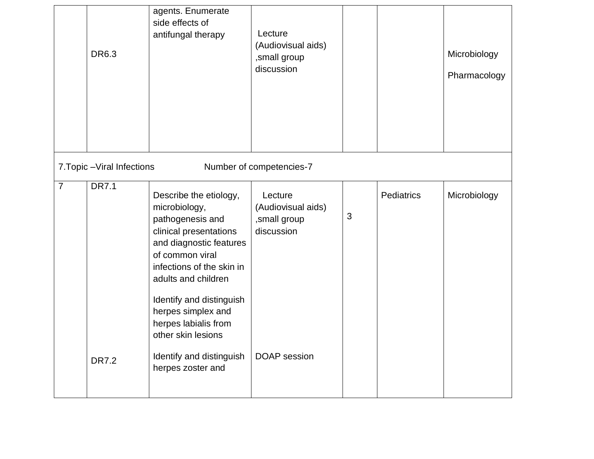|                | DR6.3                       | agents. Enumerate<br>side effects of<br>antifungal therapy                                                                                                                                                                                                                              | Lecture<br>(Audiovisual aids)<br>,small group<br>discussion |                |            | Microbiology<br>Pharmacology |
|----------------|-----------------------------|-----------------------------------------------------------------------------------------------------------------------------------------------------------------------------------------------------------------------------------------------------------------------------------------|-------------------------------------------------------------|----------------|------------|------------------------------|
|                | 7. Topic - Viral Infections |                                                                                                                                                                                                                                                                                         | Number of competencies-7                                    |                |            |                              |
| $\overline{7}$ | <b>DR7.1</b>                | Describe the etiology,<br>microbiology,<br>pathogenesis and<br>clinical presentations<br>and diagnostic features<br>of common viral<br>infections of the skin in<br>adults and children<br>Identify and distinguish<br>herpes simplex and<br>herpes labialis from<br>other skin lesions | Lecture<br>(Audiovisual aids)<br>,small group<br>discussion | $\mathfrak{B}$ | Pediatrics | Microbiology                 |
|                | <b>DR7.2</b>                | Identify and distinguish<br>herpes zoster and                                                                                                                                                                                                                                           | <b>DOAP</b> session                                         |                |            |                              |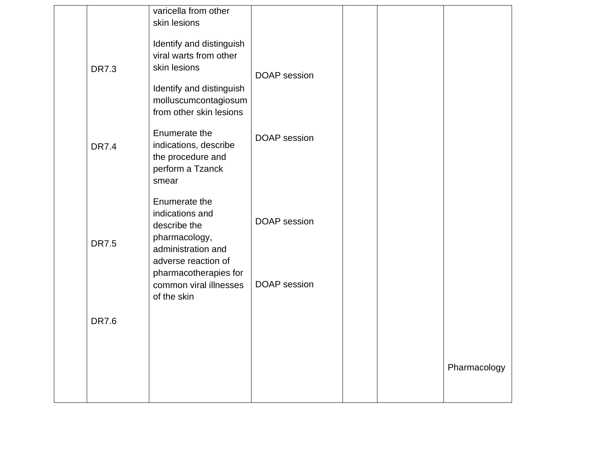|              | varicella from other<br>skin lesions                                                                           |                     |  |              |
|--------------|----------------------------------------------------------------------------------------------------------------|---------------------|--|--------------|
| <b>DR7.3</b> | Identify and distinguish<br>viral warts from other<br>skin lesions                                             | <b>DOAP</b> session |  |              |
|              | Identify and distinguish<br>molluscumcontagiosum<br>from other skin lesions                                    |                     |  |              |
| <b>DR7.4</b> | Enumerate the<br>indications, describe<br>the procedure and<br>perform a Tzanck<br>smear                       | <b>DOAP</b> session |  |              |
| <b>DR7.5</b> | Enumerate the<br>indications and<br>describe the<br>pharmacology,<br>administration and<br>adverse reaction of | <b>DOAP</b> session |  |              |
|              | pharmacotherapies for<br>common viral illnesses<br>of the skin                                                 | <b>DOAP</b> session |  |              |
| <b>DR7.6</b> |                                                                                                                |                     |  |              |
|              |                                                                                                                |                     |  | Pharmacology |
|              |                                                                                                                |                     |  |              |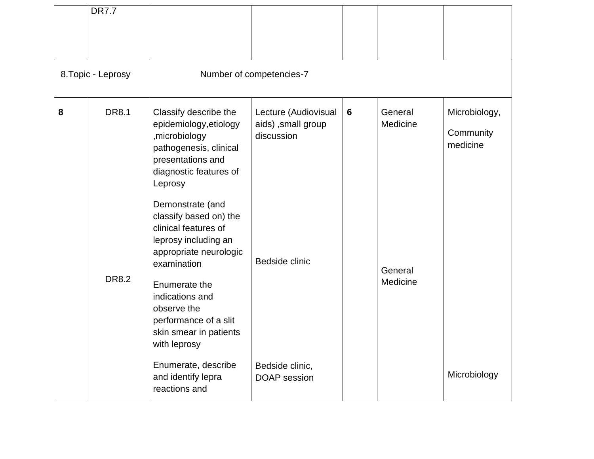|   | <b>DR7.7</b>                 |                                                                                                                                                                                                                                                                                                                                                                                                                   |                                                                            |   |                                            |                                        |
|---|------------------------------|-------------------------------------------------------------------------------------------------------------------------------------------------------------------------------------------------------------------------------------------------------------------------------------------------------------------------------------------------------------------------------------------------------------------|----------------------------------------------------------------------------|---|--------------------------------------------|----------------------------------------|
|   | 8. Topic - Leprosy           |                                                                                                                                                                                                                                                                                                                                                                                                                   | Number of competencies-7                                                   |   |                                            |                                        |
| 8 | <b>DR8.1</b><br><b>DR8.2</b> | Classify describe the<br>epidemiology, etiology<br>,microbiology<br>pathogenesis, clinical<br>presentations and<br>diagnostic features of<br>Leprosy<br>Demonstrate (and<br>classify based on) the<br>clinical features of<br>leprosy including an<br>appropriate neurologic<br>examination<br>Enumerate the<br>indications and<br>observe the<br>performance of a slit<br>skin smear in patients<br>with leprosy | Lecture (Audiovisual<br>aids), small group<br>discussion<br>Bedside clinic | 6 | General<br>Medicine<br>General<br>Medicine | Microbiology,<br>Community<br>medicine |
|   |                              | Enumerate, describe<br>and identify lepra<br>reactions and                                                                                                                                                                                                                                                                                                                                                        | Bedside clinic,<br><b>DOAP</b> session                                     |   |                                            | Microbiology                           |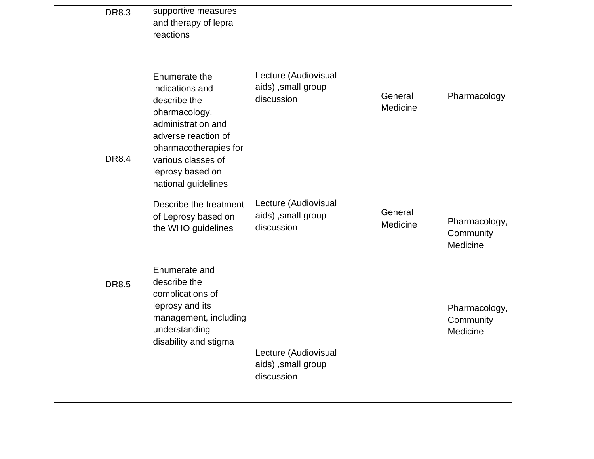| <b>DR8.3</b> | supportive measures<br>and therapy of lepra<br>reactions                                                                                                                                                 |                                                          |                     |                                        |
|--------------|----------------------------------------------------------------------------------------------------------------------------------------------------------------------------------------------------------|----------------------------------------------------------|---------------------|----------------------------------------|
| <b>DR8.4</b> | Enumerate the<br>indications and<br>describe the<br>pharmacology,<br>administration and<br>adverse reaction of<br>pharmacotherapies for<br>various classes of<br>leprosy based on<br>national guidelines | Lecture (Audiovisual<br>aids), small group<br>discussion | General<br>Medicine | Pharmacology                           |
|              | Describe the treatment<br>of Leprosy based on<br>the WHO guidelines                                                                                                                                      | Lecture (Audiovisual<br>aids), small group<br>discussion | General<br>Medicine | Pharmacology,<br>Community<br>Medicine |
| <b>DR8.5</b> | Enumerate and<br>describe the<br>complications of<br>leprosy and its<br>management, including<br>understanding<br>disability and stigma                                                                  | Lecture (Audiovisual<br>aids), small group<br>discussion |                     | Pharmacology,<br>Community<br>Medicine |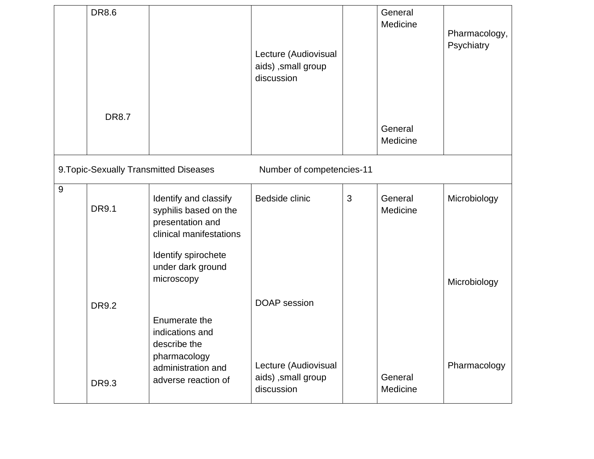|                | <b>DR8.6</b> |                                                                                                                                                         | Lecture (Audiovisual<br>aids), small group<br>discussion |   | General<br>Medicine | Pharmacology,<br>Psychiatry  |
|----------------|--------------|---------------------------------------------------------------------------------------------------------------------------------------------------------|----------------------------------------------------------|---|---------------------|------------------------------|
|                | <b>DR8.7</b> |                                                                                                                                                         |                                                          |   | General<br>Medicine |                              |
|                |              | 9. Topic-Sexually Transmitted Diseases                                                                                                                  | Number of competencies-11                                |   |                     |                              |
| $\overline{9}$ | <b>DR9.1</b> | Identify and classify<br>syphilis based on the<br>presentation and<br>clinical manifestations<br>Identify spirochete<br>under dark ground<br>microscopy | Bedside clinic                                           | 3 | General<br>Medicine | Microbiology                 |
|                | <b>DR9.2</b> | Enumerate the<br>indications and<br>describe the<br>pharmacology<br>administration and                                                                  | <b>DOAP</b> session<br>Lecture (Audiovisual              |   |                     | Microbiology<br>Pharmacology |
|                | <b>DR9.3</b> | adverse reaction of                                                                                                                                     | aids), small group<br>discussion                         |   | General<br>Medicine |                              |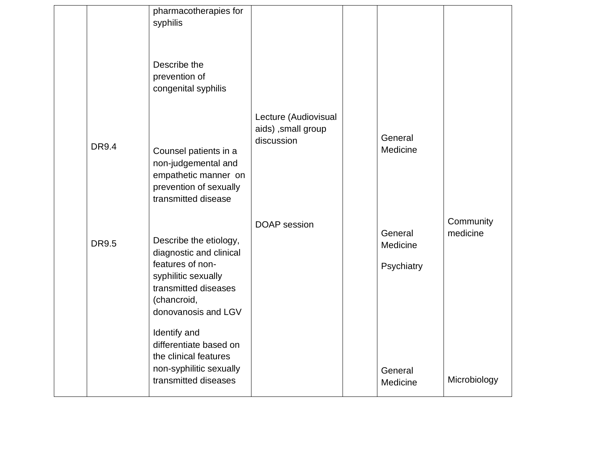|              | pharmacotherapies for<br>syphilis<br>Describe the<br>prevention of<br>congenital syphilis                                                                                  |                                                          |                                   |                       |
|--------------|----------------------------------------------------------------------------------------------------------------------------------------------------------------------------|----------------------------------------------------------|-----------------------------------|-----------------------|
| <b>DR9.4</b> | Counsel patients in a<br>non-judgemental and<br>empathetic manner on<br>prevention of sexually<br>transmitted disease                                                      | Lecture (Audiovisual<br>aids), small group<br>discussion | General<br>Medicine               |                       |
| <b>DR9.5</b> | Describe the etiology,<br>diagnostic and clinical<br>features of non-<br>syphilitic sexually<br>transmitted diseases<br>(chancroid,<br>donovanosis and LGV<br>Identify and | <b>DOAP</b> session                                      | General<br>Medicine<br>Psychiatry | Community<br>medicine |
|              | differentiate based on<br>the clinical features<br>non-syphilitic sexually<br>transmitted diseases                                                                         |                                                          | General<br>Medicine               | Microbiology          |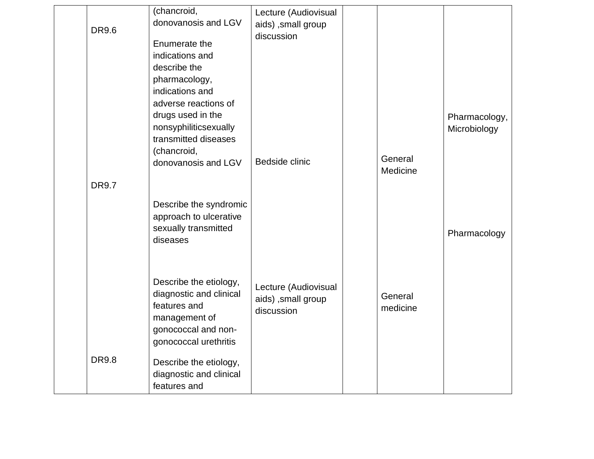| <b>DR9.6</b> | (chancroid,<br>donovanosis and LGV<br>Enumerate the<br>indications and<br>describe the<br>pharmacology,<br>indications and<br>adverse reactions of<br>drugs used in the<br>nonsyphiliticsexually<br>transmitted diseases | Lecture (Audiovisual<br>aids), small group<br>discussion |                     | Pharmacology,<br>Microbiology |
|--------------|--------------------------------------------------------------------------------------------------------------------------------------------------------------------------------------------------------------------------|----------------------------------------------------------|---------------------|-------------------------------|
|              | (chancroid,<br>donovanosis and LGV                                                                                                                                                                                       | Bedside clinic                                           | General<br>Medicine |                               |
| <b>DR9.7</b> |                                                                                                                                                                                                                          |                                                          |                     |                               |
|              | Describe the syndromic<br>approach to ulcerative<br>sexually transmitted<br>diseases                                                                                                                                     |                                                          |                     | Pharmacology                  |
|              | Describe the etiology,<br>diagnostic and clinical<br>features and<br>management of<br>gonococcal and non-<br>gonococcal urethritis                                                                                       | Lecture (Audiovisual<br>aids), small group<br>discussion | General<br>medicine |                               |
| <b>DR9.8</b> | Describe the etiology,<br>diagnostic and clinical<br>features and                                                                                                                                                        |                                                          |                     |                               |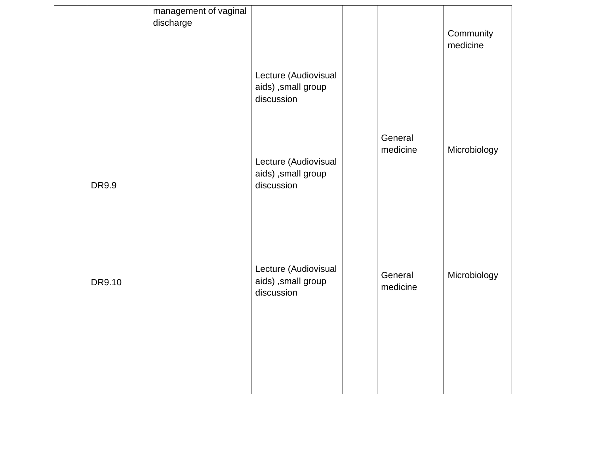|        | management of vaginal |                                                          |                     |                       |
|--------|-----------------------|----------------------------------------------------------|---------------------|-----------------------|
|        | discharge             |                                                          |                     | Community<br>medicine |
|        |                       | Lecture (Audiovisual<br>aids) ,small group<br>discussion |                     |                       |
| DR9.9  |                       | Lecture (Audiovisual<br>aids) ,small group<br>discussion | General<br>medicine | Microbiology          |
| DR9.10 |                       | Lecture (Audiovisual<br>aids) ,small group<br>discussion | General<br>medicine | Microbiology          |
|        |                       |                                                          |                     |                       |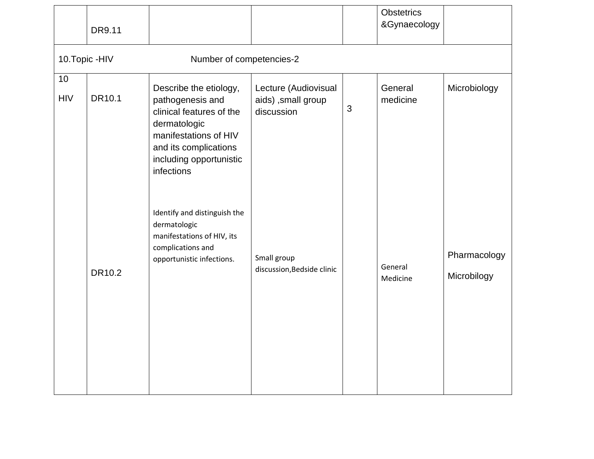|                  | DR9.11          |                                                                                                                                                                                   |                                                           |   | <b>Obstetrics</b><br>&Gynaecology |                             |
|------------------|-----------------|-----------------------------------------------------------------------------------------------------------------------------------------------------------------------------------|-----------------------------------------------------------|---|-----------------------------------|-----------------------------|
|                  | 10. Topic - HIV | Number of competencies-2                                                                                                                                                          |                                                           |   |                                   |                             |
| 10<br><b>HIV</b> | DR10.1          | Describe the etiology,<br>pathogenesis and<br>clinical features of the<br>dermatologic<br>manifestations of HIV<br>and its complications<br>including opportunistic<br>infections | Lecture (Audiovisual<br>aids) , small group<br>discussion | 3 | General<br>medicine               | Microbiology                |
|                  | DR10.2          | Identify and distinguish the<br>dermatologic<br>manifestations of HIV, its<br>complications and<br>opportunistic infections.                                                      | Small group<br>discussion, Bedside clinic                 |   | General<br>Medicine               | Pharmacology<br>Microbilogy |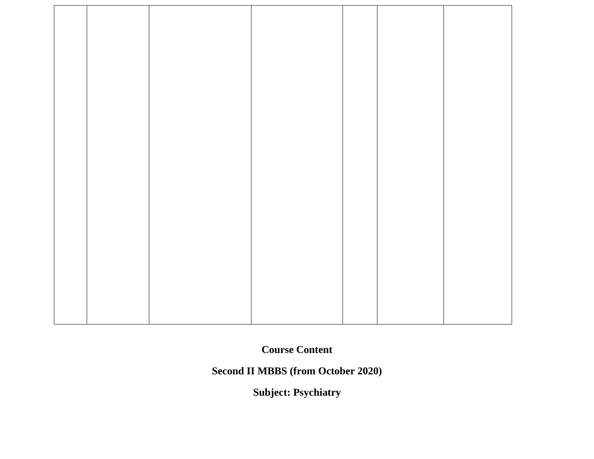**Second II MBBS (from October 2020)** 

**Subject: Psychiatry**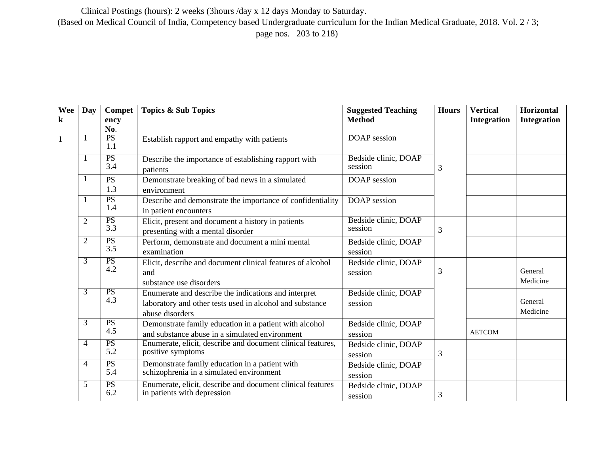Clinical Postings (hours): 2 weeks (3hours /day x 12 days Monday to Saturday. (Based on Medical Council of India, Competency based Undergraduate curriculum for the Indian Medical Graduate, 2018. Vol. 2 / 3;

page nos. 203 to 218)

| Wee<br>$\bf k$ | Day            | Compet<br>ency         | <b>Topics &amp; Sub Topics</b>                                                                                                      | <b>Suggested Teaching</b><br><b>Method</b> | <b>Hours</b> | <b>Vertical</b><br><b>Integration</b> | <b>Horizontal</b><br><b>Integration</b> |
|----------------|----------------|------------------------|-------------------------------------------------------------------------------------------------------------------------------------|--------------------------------------------|--------------|---------------------------------------|-----------------------------------------|
|                |                | No.                    |                                                                                                                                     |                                            |              |                                       |                                         |
| $\mathbf{1}$   | -1             | PS<br>1.1              | Establish rapport and empathy with patients                                                                                         | <b>DOAP</b> session                        |              |                                       |                                         |
|                |                | PS<br>3.4              | Describe the importance of establishing rapport with<br>patients                                                                    | Bedside clinic, DOAP<br>session            | 3            |                                       |                                         |
|                | 1              | <b>PS</b><br>1.3       | Demonstrate breaking of bad news in a simulated<br>environment                                                                      | DOAP session                               |              |                                       |                                         |
|                |                | PS<br>1.4              | Describe and demonstrate the importance of confidentiality<br>in patient encounters                                                 | <b>DOAP</b> session                        |              |                                       |                                         |
|                | $\overline{2}$ | PS<br>3.3              | Elicit, present and document a history in patients<br>presenting with a mental disorder                                             | Bedside clinic, DOAP<br>session            | 3            |                                       |                                         |
|                | 2              | $\overline{PS}$<br>3.5 | Perform, demonstrate and document a mini mental<br>examination                                                                      | Bedside clinic, DOAP<br>session            |              |                                       |                                         |
|                | 3              | PS<br>4.2              | Elicit, describe and document clinical features of alcohol<br>and<br>substance use disorders                                        | Bedside clinic, DOAP<br>session            | 3            |                                       | General<br>Medicine                     |
|                | 3              | PS<br>4.3              | Enumerate and describe the indications and interpret<br>laboratory and other tests used in alcohol and substance<br>abuse disorders | Bedside clinic, DOAP<br>session            |              |                                       | General<br>Medicine                     |
|                | $\overline{3}$ | PS<br>4.5              | Demonstrate family education in a patient with alcohol<br>and substance abuse in a simulated environment                            | Bedside clinic, DOAP<br>session            |              | <b>AETCOM</b>                         |                                         |
|                | 4              | PS<br>5.2              | Enumerate, elicit, describe and document clinical features,<br>positive symptoms                                                    | Bedside clinic, DOAP<br>session            | 3            |                                       |                                         |
|                | $\overline{4}$ | PS<br>5.4              | Demonstrate family education in a patient with<br>schizophrenia in a simulated environment                                          | Bedside clinic, DOAP<br>session            |              |                                       |                                         |
|                | 5              | PS<br>6.2              | Enumerate, elicit, describe and document clinical features<br>in patients with depression                                           | Bedside clinic, DOAP<br>session            | 3            |                                       |                                         |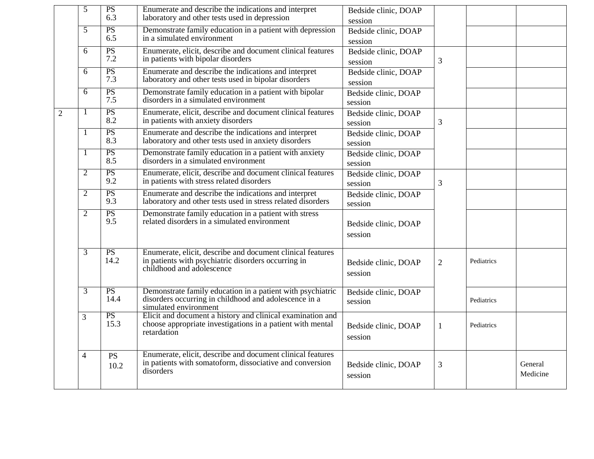|              | 5              | PS<br>6.3         | Enumerate and describe the indications and interpret<br>laboratory and other tests used in depression                                          | Bedside clinic, DOAP            |                |            |                     |
|--------------|----------------|-------------------|------------------------------------------------------------------------------------------------------------------------------------------------|---------------------------------|----------------|------------|---------------------|
|              | $\overline{5}$ | PS                | Demonstrate family education in a patient with depression                                                                                      | session                         |                |            |                     |
|              |                | 6.5               | in a simulated environment                                                                                                                     | Bedside clinic, DOAP<br>session |                |            |                     |
|              | 6              | PS<br>7.2         | Enumerate, elicit, describe and document clinical features<br>in patients with bipolar disorders                                               | Bedside clinic, DOAP<br>session | 3              |            |                     |
|              | 6              | PS<br>7.3         | Enumerate and describe the indications and interpret<br>laboratory and other tests used in bipolar disorders                                   | Bedside clinic, DOAP<br>session |                |            |                     |
|              | 6              | PS<br>7.5         | Demonstrate family education in a patient with bipolar<br>disorders in a simulated environment                                                 | Bedside clinic, DOAP<br>session |                |            |                     |
| $\mathbf{2}$ |                | PS<br>8.2         | Enumerate, elicit, describe and document clinical features<br>in patients with anxiety disorders                                               | Bedside clinic, DOAP<br>session | 3              |            |                     |
|              |                | PS<br>8.3         | Enumerate and describe the indications and interpret<br>laboratory and other tests used in anxiety disorders                                   | Bedside clinic, DOAP<br>session |                |            |                     |
|              | -1             | PS<br>8.5         | Demonstrate family education in a patient with anxiety<br>disorders in a simulated environment                                                 | Bedside clinic, DOAP<br>session |                |            |                     |
|              | 2              | PS<br>9.2         | Enumerate, elicit, describe and document clinical features<br>in patients with stress related disorders                                        | Bedside clinic, DOAP<br>session | 3              |            |                     |
|              | $\overline{2}$ | <b>PS</b><br>9.3  | Enumerate and describe the indications and interpret<br>laboratory and other tests used in stress related disorders                            | Bedside clinic, DOAP<br>session |                |            |                     |
|              | $\overline{2}$ | PS<br>9.5         | Demonstrate family education in a patient with stress<br>related disorders in a simulated environment                                          | Bedside clinic, DOAP<br>session |                |            |                     |
|              | $\overline{3}$ | PS<br>14.2        | Enumerate, elicit, describe and document clinical features<br>in patients with psychiatric disorders occurring in<br>childhood and adolescence | Bedside clinic, DOAP<br>session | $\overline{2}$ | Pediatrics |                     |
|              | 3              | PS<br>14.4        | Demonstrate family education in a patient with psychiatric<br>disorders occurring in childhood and adolescence in a<br>simulated environment   | Bedside clinic, DOAP<br>session |                | Pediatrics |                     |
|              | 3              | PS<br>15.3        | Elicit and document a history and clinical examination and<br>choose appropriate investigations in a patient with mental<br>retardation        | Bedside clinic, DOAP<br>session | 1              | Pediatrics |                     |
|              | $\overline{4}$ | <b>PS</b><br>10.2 | Enumerate, elicit, describe and document clinical features<br>in patients with somatoform, dissociative and conversion<br>disorders            | Bedside clinic, DOAP<br>session | $\mathfrak{Z}$ |            | General<br>Medicine |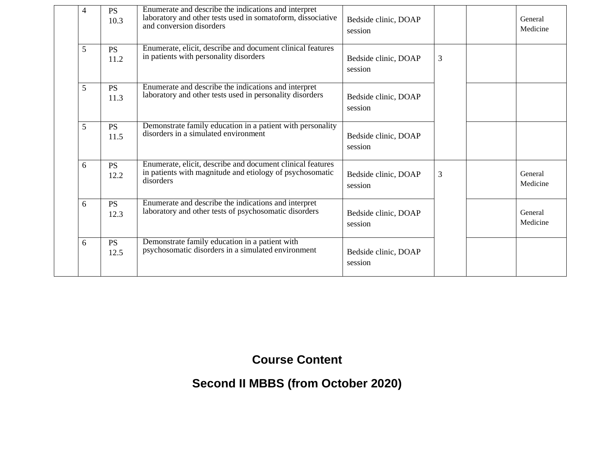| 4 | <b>PS</b><br>10.3 | Enumerate and describe the indications and interpret<br>laboratory and other tests used in somatoform, dissociative<br>and conversion disorders | Bedside clinic, DOAP<br>session |                | General<br>Medicine |
|---|-------------------|-------------------------------------------------------------------------------------------------------------------------------------------------|---------------------------------|----------------|---------------------|
| 5 | <b>PS</b><br>11.2 | Enumerate, elicit, describe and document clinical features<br>in patients with personality disorders                                            | Bedside clinic, DOAP<br>session | 3              |                     |
| 5 | <b>PS</b><br>11.3 | Enumerate and describe the indications and interpret<br>laboratory and other tests used in personality disorders                                | Bedside clinic, DOAP<br>session |                |                     |
| 5 | <b>PS</b><br>11.5 | Demonstrate family education in a patient with personality<br>disorders in a simulated environment                                              | Bedside clinic, DOAP<br>session |                |                     |
| 6 | <b>PS</b><br>12.2 | Enumerate, elicit, describe and document clinical features<br>in patients with magnitude and etiology of psychosomatic<br>disorders             | Bedside clinic, DOAP<br>session | $\overline{3}$ | General<br>Medicine |
| 6 | <b>PS</b><br>12.3 | Enumerate and describe the indications and interpret<br>laboratory and other tests of psychosomatic disorders                                   | Bedside clinic, DOAP<br>session |                | General<br>Medicine |
| 6 | <b>PS</b><br>12.5 | Demonstrate family education in a patient with<br>psychosomatic disorders in a simulated environment                                            | Bedside clinic, DOAP<br>session |                |                     |

## **Second II MBBS (from October 2020)**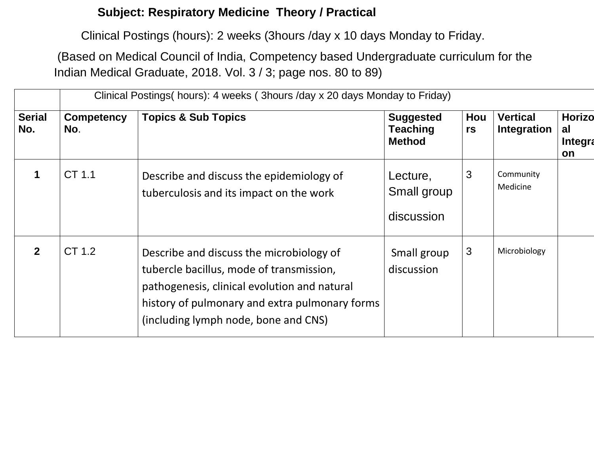#### **Subject: Respiratory Medicine Theory / Practical**

Clinical Postings (hours): 2 weeks (3hours /day x 10 days Monday to Friday.

(Based on Medical Council of India, Competency based Undergraduate curriculum for the Indian Medical Graduate, 2018. Vol. 3 / 3; page nos. 80 to 89)

|                      |                          | Clinical Postings (hours): 4 weeks (3 hours /day x 20 days Monday to Friday)                                                                                                                                                   |                                                      |           |                                |                                             |
|----------------------|--------------------------|--------------------------------------------------------------------------------------------------------------------------------------------------------------------------------------------------------------------------------|------------------------------------------------------|-----------|--------------------------------|---------------------------------------------|
| <b>Serial</b><br>No. | <b>Competency</b><br>No. | <b>Topics &amp; Sub Topics</b>                                                                                                                                                                                                 | <b>Suggested</b><br><b>Teaching</b><br><b>Method</b> | Hou<br>rs | <b>Vertical</b><br>Integration | <b>Horizo</b><br>al<br><b>Integra</b><br>on |
|                      | CT 1.1                   | Describe and discuss the epidemiology of<br>tuberculosis and its impact on the work                                                                                                                                            | Lecture,<br>Small group<br>discussion                | 3         | Community<br>Medicine          |                                             |
| $\overline{2}$       | CT 1.2                   | Describe and discuss the microbiology of<br>tubercle bacillus, mode of transmission,<br>pathogenesis, clinical evolution and natural<br>history of pulmonary and extra pulmonary forms<br>(including lymph node, bone and CNS) | Small group<br>discussion                            | 3         | Microbiology                   |                                             |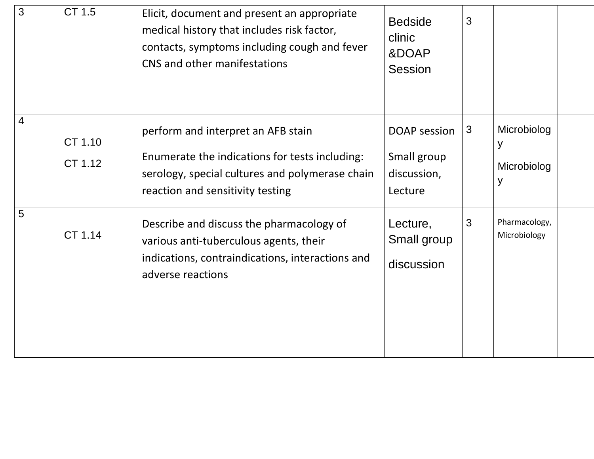| $\overline{3}$ | CT 1.5             | Elicit, document and present an appropriate<br>medical history that includes risk factor,<br>contacts, symptoms including cough and fever<br>CNS and other manifestations   | <b>Bedside</b><br>clinic<br>&DOAP<br><b>Session</b>          | 3 |                                      |  |
|----------------|--------------------|-----------------------------------------------------------------------------------------------------------------------------------------------------------------------------|--------------------------------------------------------------|---|--------------------------------------|--|
| $\overline{4}$ | CT 1.10<br>CT 1.12 | perform and interpret an AFB stain<br>Enumerate the indications for tests including:<br>serology, special cultures and polymerase chain<br>reaction and sensitivity testing | <b>DOAP</b> session<br>Small group<br>discussion,<br>Lecture | 3 | Microbiolog<br>y<br>Microbiolog<br>У |  |
| 5              | CT 1.14            | Describe and discuss the pharmacology of<br>various anti-tuberculous agents, their<br>indications, contraindications, interactions and<br>adverse reactions                 | Lecture,<br>Small group<br>discussion                        | 3 | Pharmacology,<br>Microbiology        |  |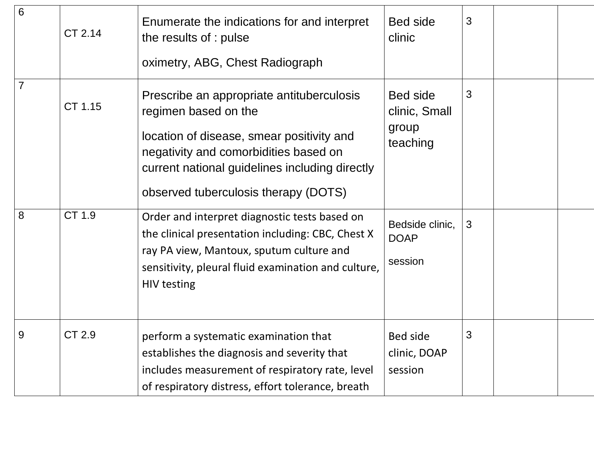| 6              | CT 2.14       | Enumerate the indications for and interpret<br>the results of : pulse<br>oximetry, ABG, Chest Radiograph                                                                                                                                          | <b>Bed side</b><br>clinic                             | 3 |  |
|----------------|---------------|---------------------------------------------------------------------------------------------------------------------------------------------------------------------------------------------------------------------------------------------------|-------------------------------------------------------|---|--|
| $\overline{7}$ | CT 1.15       | Prescribe an appropriate antituberculosis<br>regimen based on the<br>location of disease, smear positivity and<br>negativity and comorbidities based on<br>current national guidelines including directly<br>observed tuberculosis therapy (DOTS) | <b>Bed side</b><br>clinic, Small<br>group<br>teaching | 3 |  |
| 8              | CT 1.9        | Order and interpret diagnostic tests based on<br>the clinical presentation including: CBC, Chest X<br>ray PA view, Mantoux, sputum culture and<br>sensitivity, pleural fluid examination and culture,<br><b>HIV testing</b>                       | Bedside clinic,<br><b>DOAP</b><br>session             | 3 |  |
| 9              | <b>CT 2.9</b> | perform a systematic examination that<br>establishes the diagnosis and severity that<br>includes measurement of respiratory rate, level<br>of respiratory distress, effort tolerance, breath                                                      | Bed side<br>clinic, DOAP<br>session                   | 3 |  |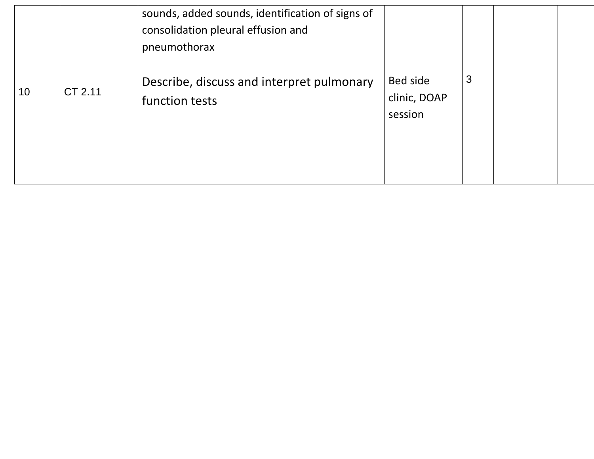|                 |         | sounds, added sounds, identification of signs of<br>consolidation pleural effusion and<br>pneumothorax |                                     |   |  |
|-----------------|---------|--------------------------------------------------------------------------------------------------------|-------------------------------------|---|--|
| 10 <sup>°</sup> | CT 2.11 | Describe, discuss and interpret pulmonary<br>function tests                                            | Bed side<br>clinic, DOAP<br>session | 3 |  |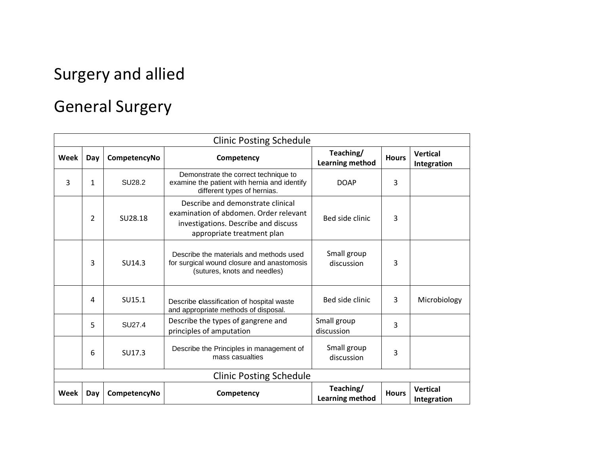# Surgery and allied

# General Surgery

|      |                |              | <b>Clinic Posting Schedule</b>                                                                                                                                       |                              |              |                                |
|------|----------------|--------------|----------------------------------------------------------------------------------------------------------------------------------------------------------------------|------------------------------|--------------|--------------------------------|
| Week | Day            | CompetencyNo | Competency                                                                                                                                                           | Teaching/<br>Learning method | <b>Hours</b> | <b>Vertical</b><br>Integration |
| 3    | 1              | SU28.2       | Demonstrate the correct technique to<br>examine the patient with hernia and identify<br>different types of hernias.                                                  | <b>DOAP</b>                  | 3            |                                |
|      | $\overline{2}$ | SU28.18      | Describe and demonstrate clinical<br>examination of abdomen. Order relevant<br>Bed side clinic<br>investigations. Describe and discuss<br>appropriate treatment plan |                              | 3            |                                |
|      | 3              | SU14.3       | Describe the materials and methods used<br>for surgical wound closure and anastomosis<br>(sutures, knots and needles)                                                | Small group<br>discussion    | 3            |                                |
|      | 4              | SU15.1       | Describe classification of hospital waste<br>and appropriate methods of disposal.                                                                                    | Bed side clinic              | 3            | Microbiology                   |
|      | 5              | SU27.4       | Describe the types of gangrene and<br>principles of amputation                                                                                                       | Small group<br>discussion    | 3            |                                |
|      | 6              | SU17.3       | Describe the Principles in management of<br>mass casualties                                                                                                          | Small group<br>discussion    |              |                                |
|      |                |              | <b>Clinic Posting Schedule</b>                                                                                                                                       |                              |              |                                |
| Week | Day            | CompetencyNo | Competency                                                                                                                                                           | Teaching/<br>Learning method | <b>Hours</b> | <b>Vertical</b><br>Integration |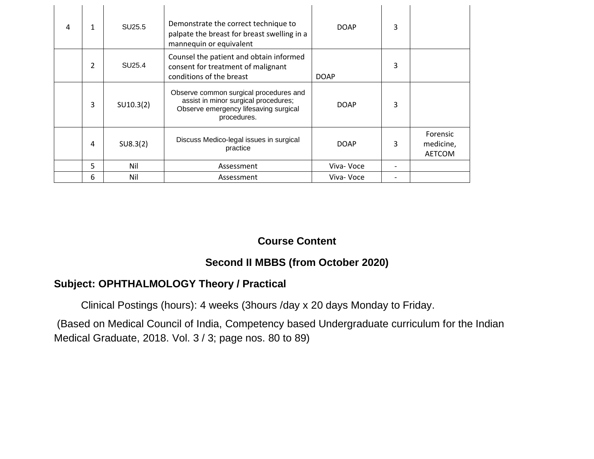| 4 | $\mathbf{1}$             | SU25.5    | Demonstrate the correct technique to<br>palpate the breast for breast swelling in a<br>mannequin or equivalent                         | <b>DOAP</b> | 3 |                                        |
|---|--------------------------|-----------|----------------------------------------------------------------------------------------------------------------------------------------|-------------|---|----------------------------------------|
|   | $\overline{\phantom{a}}$ | SU25.4    | Counsel the patient and obtain informed<br>consent for treatment of malignant<br>conditions of the breast                              | <b>DOAP</b> | 3 |                                        |
|   | 3                        | SU10.3(2) | Observe common surgical procedures and<br>assist in minor surgical procedures;<br>Observe emergency lifesaving surgical<br>procedures. | <b>DOAP</b> | 3 |                                        |
|   | 4                        | SU8.3(2)  | Discuss Medico-legal issues in surgical<br>practice                                                                                    | <b>DOAP</b> | 3 | Forensic<br>medicine,<br><b>AETCOM</b> |
|   | 5                        | Nil       | Assessment                                                                                                                             | Viva- Voce  |   |                                        |
|   | 6                        | Nil       | Assessment                                                                                                                             | Viva- Voce  |   |                                        |

#### **Second II MBBS (from October 2020)**

#### **Subject: OPHTHALMOLOGY Theory / Practical**

Clinical Postings (hours): 4 weeks (3hours /day x 20 days Monday to Friday.

(Based on Medical Council of India, Competency based Undergraduate curriculum for the Indian Medical Graduate, 2018. Vol. 3 / 3; page nos. 80 to 89)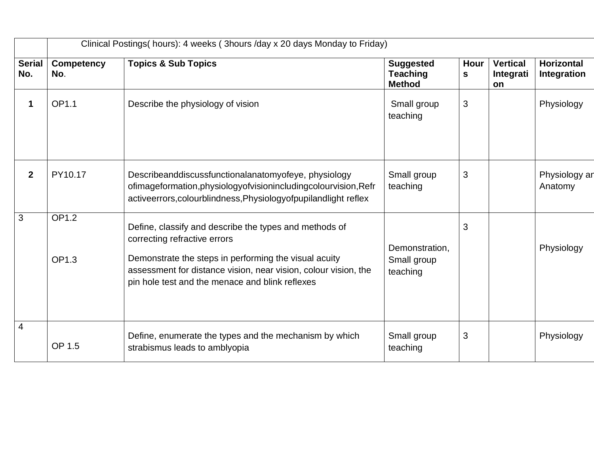|                      | Clinical Postings(hours): 4 weeks (3hours /day x 20 days Monday to Friday) |                                                                                                                                                                                                                                                                       |                                                      |                |                                    |                                  |  |
|----------------------|----------------------------------------------------------------------------|-----------------------------------------------------------------------------------------------------------------------------------------------------------------------------------------------------------------------------------------------------------------------|------------------------------------------------------|----------------|------------------------------------|----------------------------------|--|
| <b>Serial</b><br>No. | <b>Competency</b><br>No.                                                   | <b>Topics &amp; Sub Topics</b>                                                                                                                                                                                                                                        | <b>Suggested</b><br><b>Teaching</b><br><b>Method</b> | Hour<br>S      | <b>Vertical</b><br>Integrati<br>on | <b>Horizontal</b><br>Integration |  |
| $\mathbf 1$          | OP1.1                                                                      | Describe the physiology of vision                                                                                                                                                                                                                                     | Small group<br>teaching                              | 3              |                                    | Physiology                       |  |
| $\mathbf{2}$         | PY10.17                                                                    | Describeanddiscussfunctionalanatomyofeye, physiology<br>ofimageformation, physiology of vision including colour vision, Refr<br>activeerrors, colourblindness, Physiology of pupilandlight reflex                                                                     | Small group<br>teaching                              | 3              |                                    | Physiology ar<br>Anatomy         |  |
| $\mathbf{3}$         | <b>OP1.2</b><br>OP1.3                                                      | Define, classify and describe the types and methods of<br>correcting refractive errors<br>Demonstrate the steps in performing the visual acuity<br>assessment for distance vision, near vision, colour vision, the<br>pin hole test and the menace and blink reflexes | Demonstration,<br>Small group<br>teaching            | $\mathbf{3}$   |                                    | Physiology                       |  |
| 4                    | OP 1.5                                                                     | Define, enumerate the types and the mechanism by which<br>strabismus leads to amblyopia                                                                                                                                                                               | Small group<br>teaching                              | $\mathfrak{B}$ |                                    | Physiology                       |  |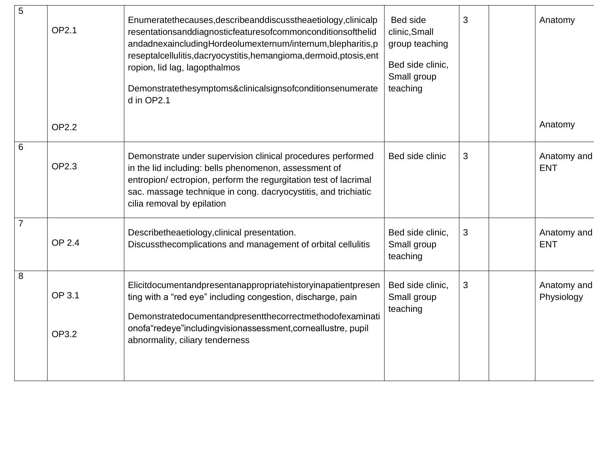| 5              | <b>OP2.1</b>    | Enumeratethecauses, describeanddiscusstheaetiology, clinicalp<br>resentationsanddiagnosticfeaturesofcommonconditionsofthelid<br>andadnexaincludingHordeolumexternum/internum,blepharitis,p<br>reseptalcellulitis, dacryocystitis, hemangioma, dermoid, ptosis, ent<br>ropion, lid lag, lagopthalmos<br>Demonstratethesymptoms&clinicalsignsofconditionsenumerate<br>d in OP2.1 | Bed side<br>clinic, Small<br>group teaching<br>Bed side clinic,<br>Small group<br>teaching | 3 | Anatomy                   |
|----------------|-----------------|--------------------------------------------------------------------------------------------------------------------------------------------------------------------------------------------------------------------------------------------------------------------------------------------------------------------------------------------------------------------------------|--------------------------------------------------------------------------------------------|---|---------------------------|
|                | <b>OP2.2</b>    |                                                                                                                                                                                                                                                                                                                                                                                |                                                                                            |   | Anatomy                   |
| 6              | OP2.3           | Demonstrate under supervision clinical procedures performed<br>in the lid including: bells phenomenon, assessment of<br>entropion/ectropion, perform the regurgitation test of lacrimal<br>sac. massage technique in cong. dacryocystitis, and trichiatic<br>cilia removal by epilation                                                                                        | Bed side clinic                                                                            | 3 | Anatomy and<br><b>ENT</b> |
| $\overline{7}$ | OP 2.4          | Describetheaetiology, clinical presentation.<br>Discussthecomplications and management of orbital cellulitis                                                                                                                                                                                                                                                                   | Bed side clinic,<br>Small group<br>teaching                                                | 3 | Anatomy and<br><b>ENT</b> |
| 8              | OP 3.1<br>OP3.2 | Elicitdocumentandpresentanappropriatehistoryinapatientpresen<br>ting with a "red eye" including congestion, discharge, pain<br>Demonstratedocumentandpresentthecorrectmethodofexaminati<br>onofa"redeye"includingvisionassessment, corneallustre, pupil<br>abnormality, ciliary tenderness                                                                                     | Bed side clinic,<br>Small group<br>teaching                                                | 3 | Anatomy and<br>Physiology |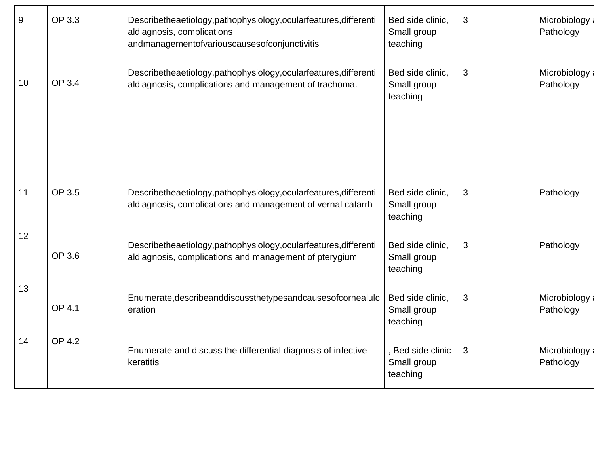| 9               | OP 3.3        | Bed side clinic,<br>Describetheaetiology, pathophysiology, ocularfeatures, differenti<br>aldiagnosis, complications<br>Small group<br>andmanagementofvariouscausesofconjunctivitis<br>teaching |                                              | 3 | Microbiology:<br>Pathology  |
|-----------------|---------------|------------------------------------------------------------------------------------------------------------------------------------------------------------------------------------------------|----------------------------------------------|---|-----------------------------|
| 10              | OP 3.4        | Describetheaetiology,pathophysiology,ocularfeatures,differenti<br>aldiagnosis, complications and management of trachoma.                                                                       | Bed side clinic,<br>Small group<br>teaching  | 3 | Microbiology a<br>Pathology |
| 11              | OP 3.5        | Describetheaetiology,pathophysiology,ocularfeatures,differenti<br>aldiagnosis, complications and management of vernal catarrh                                                                  | Bed side clinic,<br>Small group<br>teaching  | 3 | Pathology                   |
| $\overline{12}$ | OP 3.6        | Describetheaetiology,pathophysiology,ocularfeatures,differenti<br>aldiagnosis, complications and management of pterygium                                                                       | Bed side clinic,<br>Small group<br>teaching  | 3 | Pathology                   |
| 13              | <b>OP 4.1</b> | Enumerate, describeanddiscussthetypesandcauses of cornealulc<br>eration                                                                                                                        | Bed side clinic,<br>Small group<br>teaching  | 3 | Microbiology:<br>Pathology  |
| 14              | <b>OP 4.2</b> | Enumerate and discuss the differential diagnosis of infective<br>keratitis                                                                                                                     | , Bed side clinic<br>Small group<br>teaching | 3 | Microbiology:<br>Pathology  |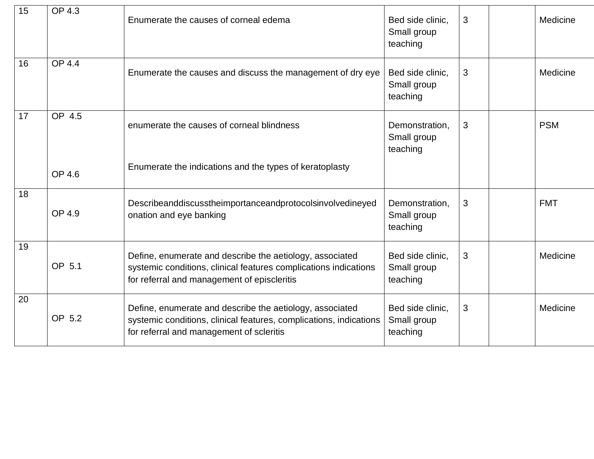| 15 | OP 4.3        | Enumerate the causes of corneal edema                                                                                                                                       | Bed side clinic,<br>Small group<br>teaching | 3 | Medicine   |
|----|---------------|-----------------------------------------------------------------------------------------------------------------------------------------------------------------------------|---------------------------------------------|---|------------|
| 16 | <b>OP 4.4</b> | Enumerate the causes and discuss the management of dry eye                                                                                                                  | Bed side clinic,<br>Small group<br>teaching | 3 | Medicine   |
| 17 | OP 4.5        | enumerate the causes of corneal blindness                                                                                                                                   | Demonstration,<br>Small group<br>teaching   | 3 | <b>PSM</b> |
|    | OP 4.6        | Enumerate the indications and the types of keratoplasty                                                                                                                     |                                             |   |            |
| 18 | OP 4.9        | Describeanddiscusstheimportanceandprotocolsinvolvedineyed<br>onation and eye banking                                                                                        | Demonstration,<br>Small group<br>teaching   | 3 | <b>FMT</b> |
| 19 | OP 5.1        | Define, enumerate and describe the aetiology, associated<br>systemic conditions, clinical features complications indications<br>for referral and management of episcleritis | Bed side clinic.<br>Small group<br>teaching | 3 | Medicine   |
| 20 | OP 5.2        | Define, enumerate and describe the aetiology, associated<br>systemic conditions, clinical features, complications, indications<br>for referral and management of scleritis  | Bed side clinic.<br>Small group<br>teaching | 3 | Medicine   |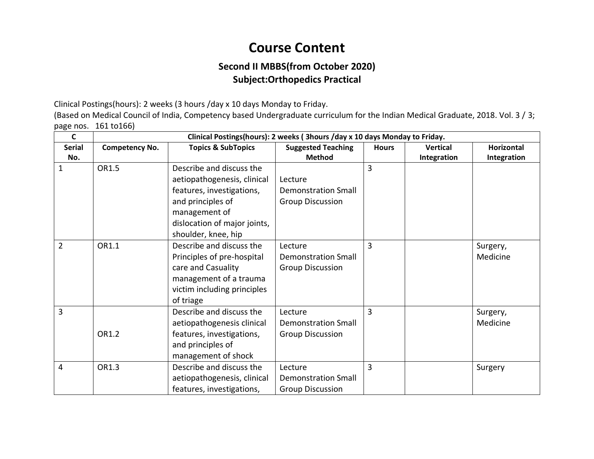#### **Second II MBBS(from October 2020) Subject:Orthopedics Practical**

Clinical Postings(hours): 2 weeks (3 hours /day x 10 days Monday to Friday.

(Based on Medical Council of India, Competency based Undergraduate curriculum for the Indian Medical Graduate, 2018. Vol. 3 / 3; page nos. 161 to166)

| C              | Clinical Postings(hours): 2 weeks ( 3hours /day x 10 days Monday to Friday. |                               |                            |              |                 |                   |
|----------------|-----------------------------------------------------------------------------|-------------------------------|----------------------------|--------------|-----------------|-------------------|
| <b>Serial</b>  | <b>Competency No.</b>                                                       | <b>Topics &amp; SubTopics</b> | <b>Suggested Teaching</b>  | <b>Hours</b> | <b>Vertical</b> | <b>Horizontal</b> |
| No.            |                                                                             |                               | <b>Method</b>              |              | Integration     | Integration       |
| 1              | OR1.5                                                                       | Describe and discuss the      |                            | 3            |                 |                   |
|                |                                                                             | aetiopathogenesis, clinical   | Lecture                    |              |                 |                   |
|                |                                                                             | features, investigations,     | <b>Demonstration Small</b> |              |                 |                   |
|                |                                                                             | and principles of             | <b>Group Discussion</b>    |              |                 |                   |
|                |                                                                             | management of                 |                            |              |                 |                   |
|                |                                                                             | dislocation of major joints,  |                            |              |                 |                   |
|                |                                                                             | shoulder, knee, hip           |                            |              |                 |                   |
| $\overline{2}$ | OR1.1                                                                       | Describe and discuss the      | Lecture                    | 3            |                 | Surgery,          |
|                |                                                                             | Principles of pre-hospital    | <b>Demonstration Small</b> |              |                 | Medicine          |
|                |                                                                             | care and Casuality            | <b>Group Discussion</b>    |              |                 |                   |
|                |                                                                             | management of a trauma        |                            |              |                 |                   |
|                |                                                                             | victim including principles   |                            |              |                 |                   |
|                |                                                                             | of triage                     |                            |              |                 |                   |
| 3              |                                                                             | Describe and discuss the      | Lecture                    | 3            |                 | Surgery,          |
|                |                                                                             | aetiopathogenesis clinical    | <b>Demonstration Small</b> |              |                 | Medicine          |
|                | OR1.2                                                                       | features, investigations,     | <b>Group Discussion</b>    |              |                 |                   |
|                |                                                                             | and principles of             |                            |              |                 |                   |
|                |                                                                             | management of shock           |                            |              |                 |                   |
| 4              | OR1.3                                                                       | Describe and discuss the      | Lecture                    | 3            |                 | Surgery           |
|                |                                                                             | aetiopathogenesis, clinical   | <b>Demonstration Small</b> |              |                 |                   |
|                |                                                                             | features, investigations,     | <b>Group Discussion</b>    |              |                 |                   |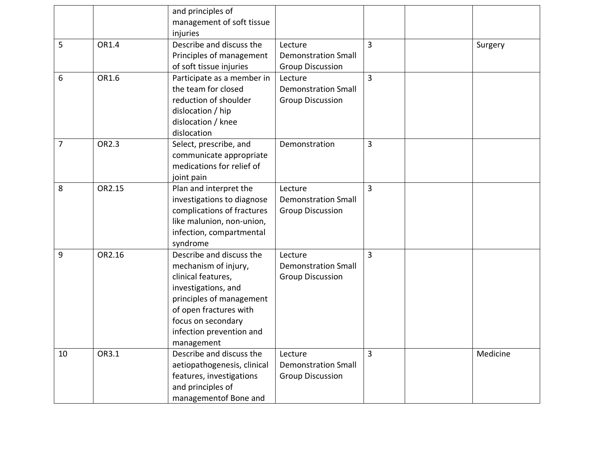|                |        | and principles of<br>management of soft tissue<br>injuries                                                                                                                                                          |                                                                  |                |          |
|----------------|--------|---------------------------------------------------------------------------------------------------------------------------------------------------------------------------------------------------------------------|------------------------------------------------------------------|----------------|----------|
| 5              | OR1.4  | Describe and discuss the<br>Principles of management<br>of soft tissue injuries                                                                                                                                     | Lecture<br><b>Demonstration Small</b><br><b>Group Discussion</b> | $\overline{3}$ | Surgery  |
| 6              | OR1.6  | Participate as a member in<br>the team for closed<br>reduction of shoulder<br>dislocation / hip<br>dislocation / knee<br>dislocation                                                                                | Lecture<br><b>Demonstration Small</b><br><b>Group Discussion</b> | 3              |          |
| $\overline{7}$ | OR2.3  | Select, prescribe, and<br>communicate appropriate<br>medications for relief of<br>joint pain                                                                                                                        | Demonstration                                                    | 3              |          |
| 8              | OR2.15 | Plan and interpret the<br>investigations to diagnose<br>complications of fractures<br>like malunion, non-union,<br>infection, compartmental<br>syndrome                                                             | Lecture<br><b>Demonstration Small</b><br><b>Group Discussion</b> | $\overline{3}$ |          |
| 9              | OR2.16 | Describe and discuss the<br>mechanism of injury,<br>clinical features,<br>investigations, and<br>principles of management<br>of open fractures with<br>focus on secondary<br>infection prevention and<br>management | Lecture<br><b>Demonstration Small</b><br><b>Group Discussion</b> | 3              |          |
| 10             | OR3.1  | Describe and discuss the<br>aetiopathogenesis, clinical<br>features, investigations<br>and principles of<br>managementof Bone and                                                                                   | Lecture<br><b>Demonstration Small</b><br><b>Group Discussion</b> | 3              | Medicine |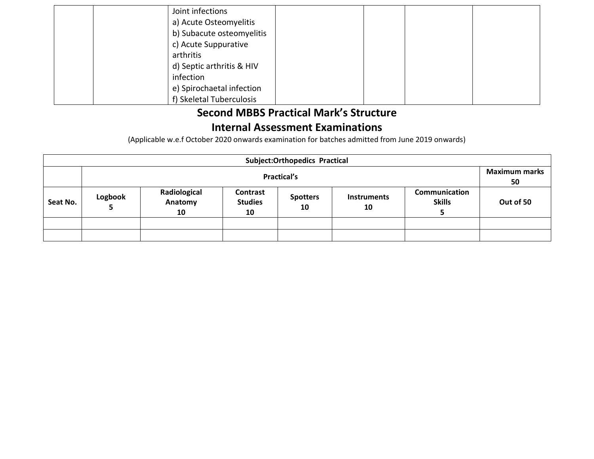| Joint infections          |  |  |
|---------------------------|--|--|
| a) Acute Osteomyelitis    |  |  |
| b) Subacute osteomyelitis |  |  |
| c) Acute Suppurative      |  |  |
| arthritis                 |  |  |
| d) Septic arthritis & HIV |  |  |
| infection                 |  |  |
| e) Spirochaetal infection |  |  |
| f) Skeletal Tuberculosis  |  |  |

# **Second MBBS Practical Mark's Structure**

#### **Internal Assessment Examinations**

(Applicable w.e.f October 2020 onwards examination for batches admitted from June 2019 onwards)

|          | <b>Subject:Orthopedics Practical</b> |                               |                                  |                       |                          |                                |           |
|----------|--------------------------------------|-------------------------------|----------------------------------|-----------------------|--------------------------|--------------------------------|-----------|
|          | <b>Practical's</b>                   |                               |                                  |                       |                          | <b>Maximum marks</b><br>50     |           |
| Seat No. | Logbook                              | Radiological<br>Anatomy<br>10 | Contrast<br><b>Studies</b><br>10 | <b>Spotters</b><br>10 | <b>Instruments</b><br>10 | Communication<br><b>Skills</b> | Out of 50 |
|          |                                      |                               |                                  |                       |                          |                                |           |
|          |                                      |                               |                                  |                       |                          |                                |           |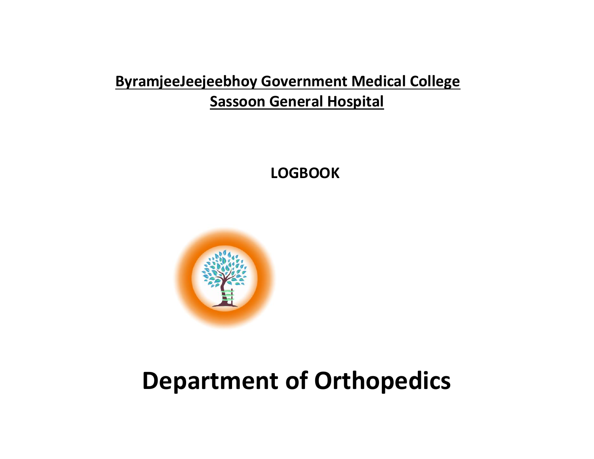# **ByramjeeJeejeebhoy Government Medical College Sassoon General Hospital**

 **LOGBOOK**



# **Department of Orthopedics**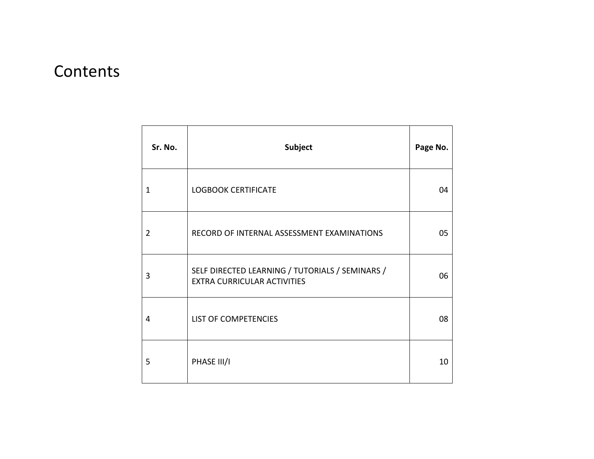# **Contents**

| Sr. No.        | Subject                                                                               | Page No. |
|----------------|---------------------------------------------------------------------------------------|----------|
| 1              | <b>LOGBOOK CERTIFICATE</b>                                                            | 04       |
| $\overline{2}$ | RECORD OF INTERNAL ASSESSMENT EXAMINATIONS                                            | 05       |
| 3              | SELF DIRECTED LEARNING / TUTORIALS / SEMINARS /<br><b>EXTRA CURRICULAR ACTIVITIES</b> | 06       |
| 4              | LIST OF COMPETENCIES                                                                  | 08       |
| 5              | PHASE III/I                                                                           | 10       |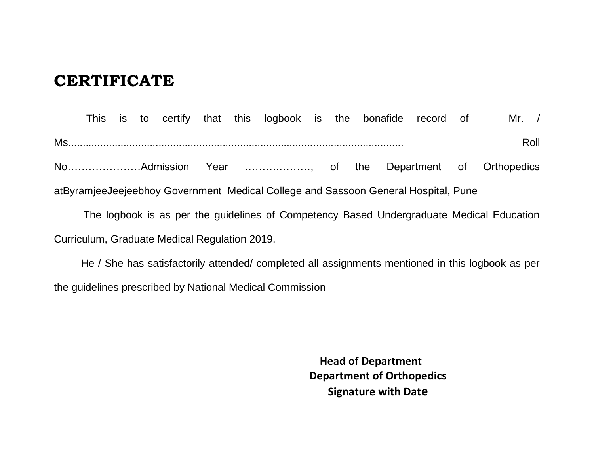## **CERTIFICATE**

This is to certify that this logbook is the bonafide record of Mr. / Ms................................................................................................................... Roll No…………………Admission Year ……….………, of the Department of Orthopedics atByramjeeJeejeebhoy Government Medical College and Sassoon General Hospital, Pune

 The logbook is as per the guidelines of Competency Based Undergraduate Medical Education Curriculum, Graduate Medical Regulation 2019.

He / She has satisfactorily attended/ completed all assignments mentioned in this logbook as per the guidelines prescribed by National Medical Commission

> **Head of Department Department of Orthopedics Signature with Date**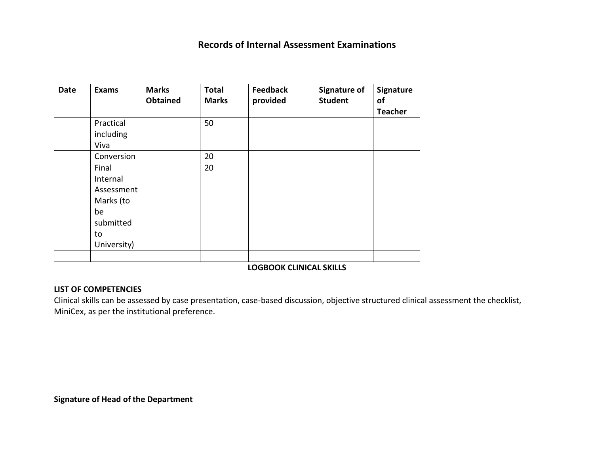#### **Records of Internal Assessment Examinations**

| <b>Date</b> | <b>Exams</b>                                                                         | <b>Marks</b><br><b>Obtained</b> | <b>Total</b><br><b>Marks</b> | <b>Feedback</b><br>provided    | <b>Signature of</b><br><b>Student</b> | Signature<br>of<br><b>Teacher</b> |
|-------------|--------------------------------------------------------------------------------------|---------------------------------|------------------------------|--------------------------------|---------------------------------------|-----------------------------------|
|             | Practical<br>including<br>Viva                                                       |                                 | 50                           |                                |                                       |                                   |
|             | Conversion                                                                           |                                 | 20                           |                                |                                       |                                   |
|             | Final<br>Internal<br>Assessment<br>Marks (to<br>be<br>submitted<br>to<br>University) |                                 | 20                           |                                |                                       |                                   |
|             |                                                                                      |                                 |                              | <b>LOGBOOK CLINICAL SKILLS</b> |                                       |                                   |

#### **LIST OF COMPETENCIES**

Clinical skills can be assessed by case presentation, case-based discussion, objective structured clinical assessment the checklist, MiniCex, as per the institutional preference.

**Signature of Head of the Department**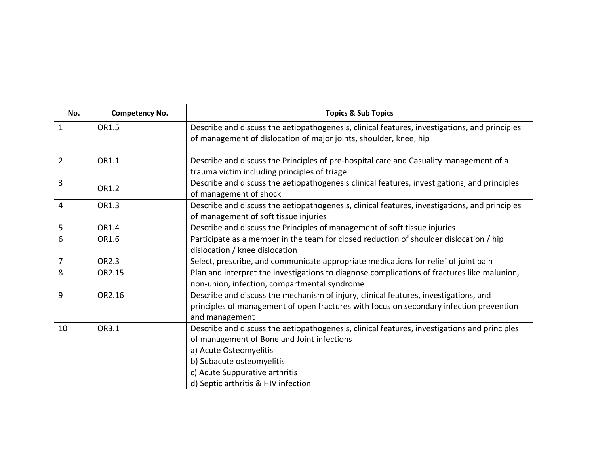| No.            | <b>Competency No.</b> | <b>Topics &amp; Sub Topics</b>                                                                                                                                                                                                                                             |
|----------------|-----------------------|----------------------------------------------------------------------------------------------------------------------------------------------------------------------------------------------------------------------------------------------------------------------------|
| $\mathbf{1}$   | OR1.5                 | Describe and discuss the aetiopathogenesis, clinical features, investigations, and principles<br>of management of dislocation of major joints, shoulder, knee, hip                                                                                                         |
| $\overline{2}$ | OR1.1                 | Describe and discuss the Principles of pre-hospital care and Casuality management of a<br>trauma victim including principles of triage                                                                                                                                     |
| 3              | OR1.2                 | Describe and discuss the aetiopathogenesis clinical features, investigations, and principles<br>of management of shock                                                                                                                                                     |
| $\overline{4}$ | OR1.3                 | Describe and discuss the aetiopathogenesis, clinical features, investigations, and principles<br>of management of soft tissue injuries                                                                                                                                     |
| 5              | OR1.4                 | Describe and discuss the Principles of management of soft tissue injuries                                                                                                                                                                                                  |
| 6              | OR1.6                 | Participate as a member in the team for closed reduction of shoulder dislocation / hip<br>dislocation / knee dislocation                                                                                                                                                   |
| $\overline{7}$ | OR2.3                 | Select, prescribe, and communicate appropriate medications for relief of joint pain                                                                                                                                                                                        |
| 8              | OR2.15                | Plan and interpret the investigations to diagnose complications of fractures like malunion,<br>non-union, infection, compartmental syndrome                                                                                                                                |
| 9              | OR2.16                | Describe and discuss the mechanism of injury, clinical features, investigations, and<br>principles of management of open fractures with focus on secondary infection prevention<br>and management                                                                          |
| 10             | OR3.1                 | Describe and discuss the aetiopathogenesis, clinical features, investigations and principles<br>of management of Bone and Joint infections<br>a) Acute Osteomyelitis<br>b) Subacute osteomyelitis<br>c) Acute Suppurative arthritis<br>d) Septic arthritis & HIV infection |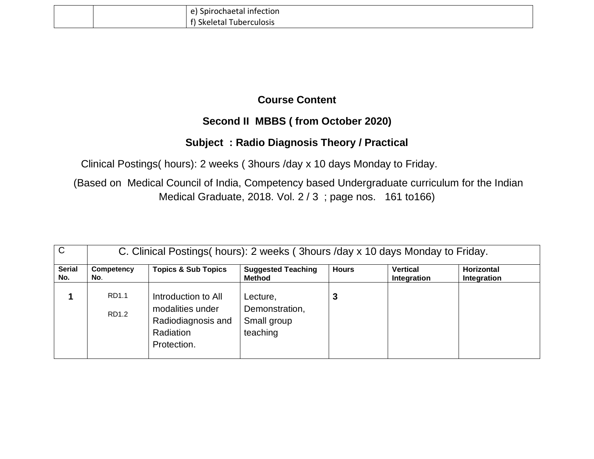|  | Spirochaetal infection<br>A     |
|--|---------------------------------|
|  | - -<br>Tuberculosis<br>Skeletal |

#### **Second II MBBS ( from October 2020)**

#### **Subject : Radio Diagnosis Theory / Practical**

Clinical Postings( hours): 2 weeks ( 3hours /day x 10 days Monday to Friday.

(Based on Medical Council of India, Competency based Undergraduate curriculum for the Indian Medical Graduate, 2018. Vol. 2 / 3 ; page nos. 161 to166)

| $\mathsf{C}$         |                   | C. Clinical Postings (hours): 2 weeks (3 hours /day x 10 days Monday to Friday.           |                                                       |              |                                |                                  |  |  |  |
|----------------------|-------------------|-------------------------------------------------------------------------------------------|-------------------------------------------------------|--------------|--------------------------------|----------------------------------|--|--|--|
| <b>Serial</b><br>No. | Competency<br>No. | <b>Topics &amp; Sub Topics</b>                                                            | <b>Suggested Teaching</b><br><b>Method</b>            | <b>Hours</b> | <b>Vertical</b><br>Integration | <b>Horizontal</b><br>Integration |  |  |  |
|                      | RD1.1<br>RD1.2    | Introduction to All<br>modalities under<br>Radiodiagnosis and<br>Radiation<br>Protection. | Lecture,<br>Demonstration,<br>Small group<br>teaching |              |                                |                                  |  |  |  |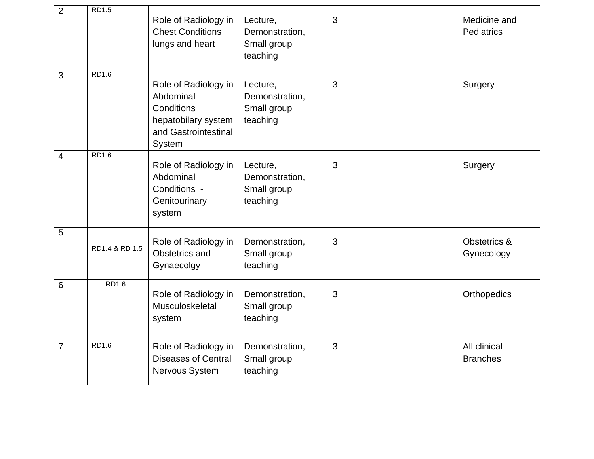| $\overline{2}$ | <b>RD1.5</b>   | Role of Radiology in<br><b>Chest Conditions</b><br>lungs and heart                                       | Lecture,<br>Demonstration,<br>Small group<br>teaching | 3 | Medicine and<br>Pediatrics      |
|----------------|----------------|----------------------------------------------------------------------------------------------------------|-------------------------------------------------------|---|---------------------------------|
| 3              | <b>RD1.6</b>   | Role of Radiology in<br>Abdominal<br>Conditions<br>hepatobilary system<br>and Gastrointestinal<br>System | Lecture,<br>Demonstration,<br>Small group<br>teaching | 3 | Surgery                         |
| 4              | RD1.6          | Role of Radiology in<br>Abdominal<br>Conditions -<br>Genitourinary<br>system                             | Lecture,<br>Demonstration,<br>Small group<br>teaching | 3 | Surgery                         |
| 5              | RD1.4 & RD 1.5 | Role of Radiology in<br>Obstetrics and<br>Gynaecolgy                                                     | Demonstration,<br>Small group<br>teaching             | 3 | Obstetrics &<br>Gynecology      |
| 6              | <b>RD1.6</b>   | Role of Radiology in<br>Musculoskeletal<br>system                                                        | Demonstration,<br>Small group<br>teaching             | 3 | Orthopedics                     |
| 7              | <b>RD1.6</b>   | Role of Radiology in<br><b>Diseases of Central</b><br>Nervous System                                     | Demonstration,<br>Small group<br>teaching             | 3 | All clinical<br><b>Branches</b> |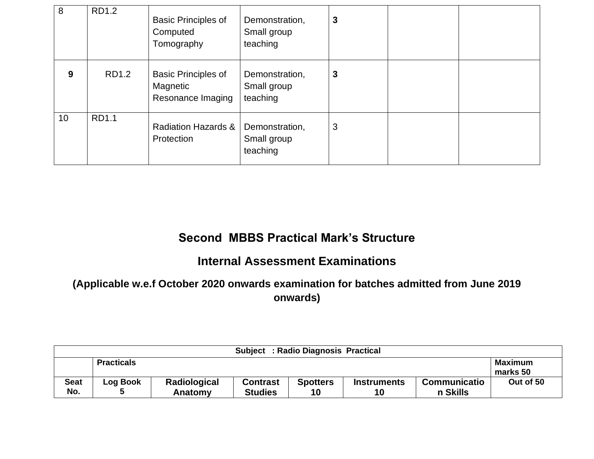| 8  | <b>RD1.2</b> | <b>Basic Principles of</b><br>Computed<br>Tomography        | Demonstration,<br>Small group<br>teaching | 3 |  |
|----|--------------|-------------------------------------------------------------|-------------------------------------------|---|--|
| 9  | RD1.2        | <b>Basic Principles of</b><br>Magnetic<br>Resonance Imaging | Demonstration,<br>Small group<br>teaching | 3 |  |
| 10 | RD1.1        | <b>Radiation Hazards &amp;</b><br>Protection                | Demonstration,<br>Small group<br>teaching | 3 |  |

#### **Second MBBS Practical Mark's Structure**

#### **Internal Assessment Examinations**

**(Applicable w.e.f October 2020 onwards examination for batches admitted from June 2019 onwards)**

| Subject: Radio Diagnosis Practical |                   |                         |                                   |                       |                          |                                 |                            |  |
|------------------------------------|-------------------|-------------------------|-----------------------------------|-----------------------|--------------------------|---------------------------------|----------------------------|--|
|                                    | <b>Practicals</b> |                         |                                   |                       |                          |                                 | <b>Maximum</b><br>marks 50 |  |
| <b>Seat</b><br>No.                 | Log Book          | Radiological<br>Anatomy | <b>Contrast</b><br><b>Studies</b> | <b>Spotters</b><br>10 | <b>Instruments</b><br>10 | <b>Communicatio</b><br>n Skills | Out of 50                  |  |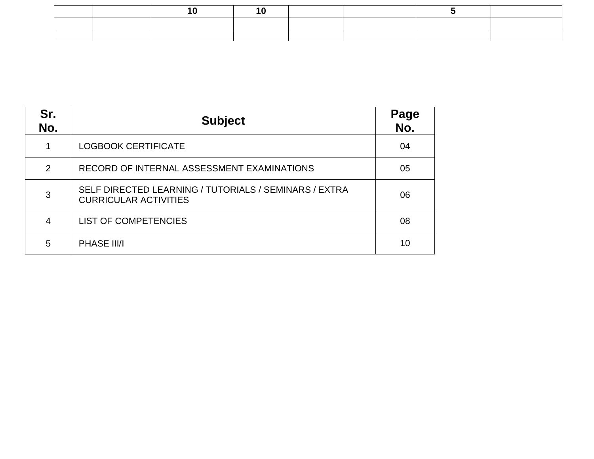|  | <b>Contract Contract</b> |  |  |  |
|--|--------------------------|--|--|--|
|  |                          |  |  |  |
|  |                          |  |  |  |

| Sr.<br>No.     | <b>Subject</b>                                                                        | Page<br>No. |
|----------------|---------------------------------------------------------------------------------------|-------------|
|                | <b>LOGBOOK CERTIFICATE</b>                                                            | 04          |
| $\overline{2}$ | RECORD OF INTERNAL ASSESSMENT EXAMINATIONS                                            | 05          |
| 3              | SELF DIRECTED LEARNING / TUTORIALS / SEMINARS / EXTRA<br><b>CURRICULAR ACTIVITIES</b> | 06          |
| 4              | <b>LIST OF COMPETENCIES</b>                                                           | 08          |
| 5              | PHASE III/I                                                                           | 10          |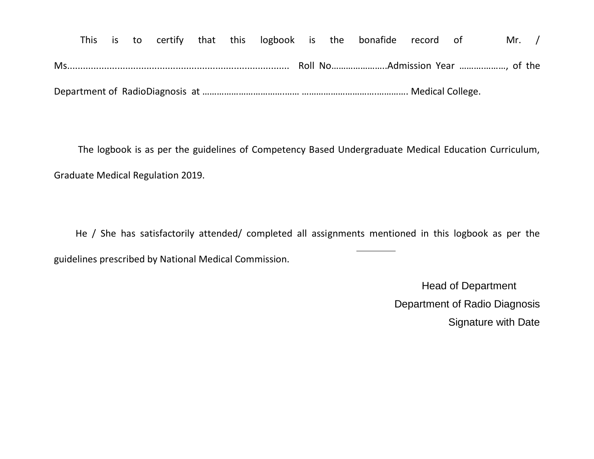This is to certify that this logbook is the bonafide record of Mr. / Ms.................................................................................... Roll No…………………..Admission Year ……….………, of the Department of RadioDiagnosis at …………………………….…… ………………………….…………. Medical College.

 The logbook is as per the guidelines of Competency Based Undergraduate Medical Education Curriculum, Graduate Medical Regulation 2019.

 He / She has satisfactorily attended/ completed all assignments mentioned in this logbook as per the guidelines prescribed by National Medical Commission.

> Head of Department Department of Radio Diagnosis Signature with Date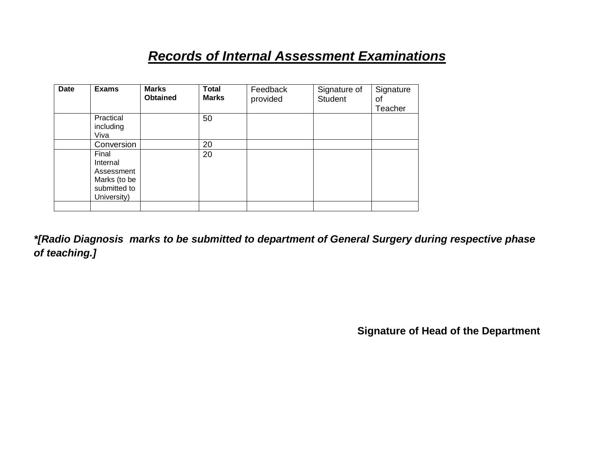## *Records of Internal Assessment Examinations*

| <b>Date</b> | <b>Exams</b>                                                                   | <b>Marks</b><br><b>Obtained</b> | <b>Total</b><br><b>Marks</b> | Feedback<br>provided | Signature of<br><b>Student</b> | Signature<br>οf<br>Teacher |
|-------------|--------------------------------------------------------------------------------|---------------------------------|------------------------------|----------------------|--------------------------------|----------------------------|
|             | Practical<br>including<br>Viva                                                 |                                 | 50                           |                      |                                |                            |
|             | Conversion                                                                     |                                 | 20                           |                      |                                |                            |
|             | Final<br>Internal<br>Assessment<br>Marks (to be<br>submitted to<br>University) |                                 | 20                           |                      |                                |                            |
|             |                                                                                |                                 |                              |                      |                                |                            |

*\*[Radio Diagnosis marks to be submitted to department of General Surgery during respective phase of teaching.]*

**Signature of Head of the Department**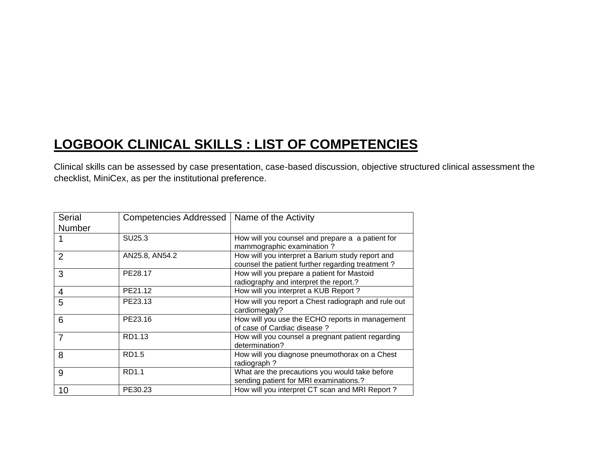# **LOGBOOK CLINICAL SKILLS : LIST OF COMPETENCIES**

Clinical skills can be assessed by case presentation, case-based discussion, objective structured clinical assessment the checklist, MiniCex, as per the institutional preference.

| <b>Serial</b><br>Number | Competencies Addressed   Name of the Activity |                                                                                                      |
|-------------------------|-----------------------------------------------|------------------------------------------------------------------------------------------------------|
|                         | SU25.3                                        | How will you counsel and prepare a a patient for<br>mammographic examination?                        |
| $\overline{2}$          | AN25.8, AN54.2                                | How will you interpret a Barium study report and<br>counsel the patient further regarding treatment? |
| 3                       | PE28.17                                       | How will you prepare a patient for Mastoid<br>radiography and interpret the report.?                 |
| $\overline{4}$          | PE21.12                                       | How will you interpret a KUB Report?                                                                 |
| 5                       | PE23.13                                       | How will you report a Chest radiograph and rule out<br>cardiomegaly?                                 |
| 6                       | PE23.16                                       | How will you use the ECHO reports in management<br>of case of Cardiac disease?                       |
| $\overline{7}$          | RD1.13                                        | How will you counsel a pregnant patient regarding<br>determination?                                  |
| 8                       | <b>RD1.5</b>                                  | How will you diagnose pneumothorax on a Chest<br>radiograph?                                         |
| 9                       | RD1.1                                         | What are the precautions you would take before<br>sending patient for MRI examinations.?             |
| 10                      | PE30.23                                       | How will you interpret CT scan and MRI Report?                                                       |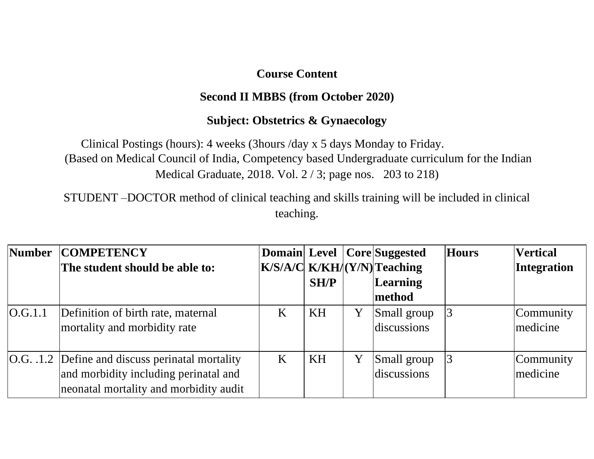#### **Second II MBBS (from October 2020)**

#### **Subject: Obstetrics & Gynaecology**

Clinical Postings (hours): 4 weeks (3hours /day x 5 days Monday to Friday. (Based on Medical Council of India, Competency based Undergraduate curriculum for the Indian Medical Graduate, 2018. Vol. 2 / 3; page nos. 203 to 218)

STUDENT –DOCTOR method of clinical teaching and skills training will be included in clinical teaching.

| Number  | <b>COMPETENCY</b>                                                                                                                   |   |      |   | <b>Domain Level Core Suggested</b> | <b>Hours</b> | <b>Vertical</b>       |
|---------|-------------------------------------------------------------------------------------------------------------------------------------|---|------|---|------------------------------------|--------------|-----------------------|
|         | The student should be able to:                                                                                                      |   |      |   | $K/S/A/C$ $K/KH/(Y/N)$ Teaching    |              | Integration           |
|         |                                                                                                                                     |   | SH/P |   | Learning                           |              |                       |
|         |                                                                                                                                     |   |      |   | method                             |              |                       |
| O.G.1.1 | Definition of birth rate, maternal<br>mortality and morbidity rate                                                                  | K | KH   | Y | Small group<br>discussions         |              | Community<br>medicine |
|         | O.G. .1.2 Define and discuss perinatal mortality<br>and morbidity including perinatal and<br>neonatal mortality and morbidity audit | K | KH   | Y | Small group<br>discussions         |              | Community<br>medicine |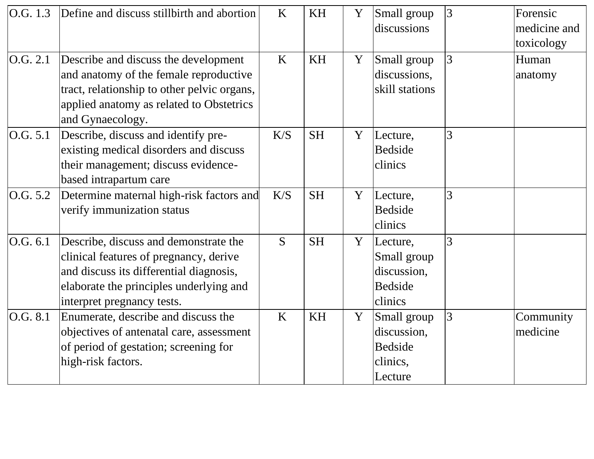| $\vert$ O.G. 1.3 | Define and discuss still birth and abortion                                                                                                                                                         | K   | KH        | Y            | Small group<br>discussions                                          | 3 | Forensic<br>medicine and<br>toxicology |
|------------------|-----------------------------------------------------------------------------------------------------------------------------------------------------------------------------------------------------|-----|-----------|--------------|---------------------------------------------------------------------|---|----------------------------------------|
| O.G. 2.1         | Describe and discuss the development<br>and anatomy of the female reproductive<br>tract, relationship to other pelvic organs,<br>applied anatomy as related to Obstetrics<br>and Gynaecology.       | K   | KH        | Y            | Small group<br>discussions,<br>skill stations                       | 3 | Human<br>anatomy                       |
| O.G. 5.1         | Describe, discuss and identify pre-<br>existing medical disorders and discuss<br>their management; discuss evidence-<br>based intrapartum care                                                      | K/S | <b>SH</b> | Y            | Lecture,<br><b>Bedside</b><br>clinics                               | 3 |                                        |
| $\vert$ O.G. 5.2 | Determine maternal high-risk factors and<br>verify immunization status                                                                                                                              | K/S | <b>SH</b> | Y            | Lecture,<br><b>Bedside</b><br>clinics                               | 3 |                                        |
| O.G. 6.1         | Describe, discuss and demonstrate the<br>clinical features of pregnancy, derive<br>and discuss its differential diagnosis,<br>elaborate the principles underlying and<br>interpret pregnancy tests. | S   | <b>SH</b> | Y            | Lecture,<br>Small group<br>discussion,<br><b>Bedside</b><br>clinics | 3 |                                        |
| $\vert$ O.G. 8.1 | Enumerate, describe and discuss the<br>objectives of antenatal care, assessment<br>of period of gestation; screening for<br>high-risk factors.                                                      | K   | KH        | $\mathbf{Y}$ | Small group<br>discussion,<br><b>Bedside</b><br>clinics,<br>Lecture | 3 | Community<br>medicine                  |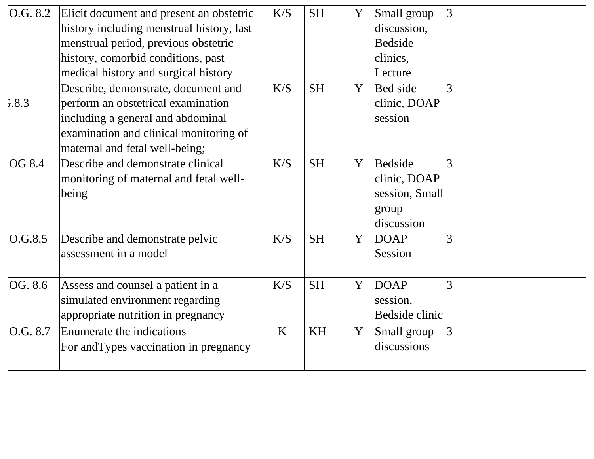| $\vert$ O.G. 8.2 | Elicit document and present an obstetric<br>history including menstrual history, last<br>menstrual period, previous obstetric<br>history, comorbid conditions, past<br>medical history and surgical history | K/S | <b>SH</b> | Y | Small group<br>discussion,<br><b>Bedside</b><br>clinics,<br>Lecture | 3 |  |
|------------------|-------------------------------------------------------------------------------------------------------------------------------------------------------------------------------------------------------------|-----|-----------|---|---------------------------------------------------------------------|---|--|
| 5.8.3            | Describe, demonstrate, document and<br>perform an obstetrical examination<br>including a general and abdominal<br>examination and clinical monitoring of<br>maternal and fetal well-being;                  | K/S | <b>SH</b> | Y | <b>Bed</b> side<br>clinic, DOAP<br>session                          | 3 |  |
| OG 8.4           | Describe and demonstrate clinical<br>monitoring of maternal and fetal well-<br>being                                                                                                                        | K/S | <b>SH</b> | Y | Bedside<br>clinic, DOAP<br>session, Small<br>group<br>discussion    | 3 |  |
| O.G.8.5          | Describe and demonstrate pelvic<br>assessment in a model                                                                                                                                                    | K/S | <b>SH</b> | Y | <b>DOAP</b><br>Session                                              | 3 |  |
| OG. 8.6          | Assess and counsel a patient in a<br>simulated environment regarding<br>appropriate nutrition in pregnancy                                                                                                  | K/S | <b>SH</b> | Y | <b>DOAP</b><br>session,<br>Bedside clinic                           | 3 |  |
| O.G. 8.7         | Enumerate the indications<br>For and Types vaccination in pregnancy                                                                                                                                         | K   | <b>KH</b> | Y | Small group<br>discussions                                          | 3 |  |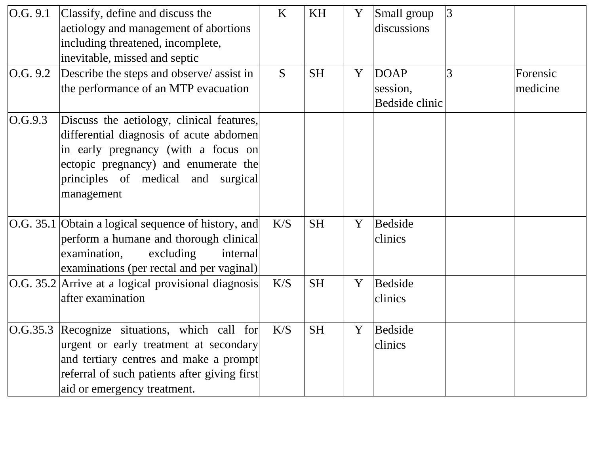| O.G. 9.1 | Classify, define and discuss the<br>aetiology and management of abortions<br>including threatened, incomplete,                                                                                                          | K   | <b>KH</b> | Y | Small group<br>discussions | 3 |          |
|----------|-------------------------------------------------------------------------------------------------------------------------------------------------------------------------------------------------------------------------|-----|-----------|---|----------------------------|---|----------|
|          | inevitable, missed and septic                                                                                                                                                                                           |     |           |   |                            |   |          |
| O.G. 9.2 | Describe the steps and observe/ assist in                                                                                                                                                                               | S.  | <b>SH</b> | Y | <b>DOAP</b>                | 3 | Forensic |
|          | the performance of an MTP evacuation                                                                                                                                                                                    |     |           |   | session,<br>Bedside clinic |   | medicine |
| O.G.9.3  | Discuss the aetiology, clinical features,<br>differential diagnosis of acute abdomen<br>in early pregnancy (with a focus on<br>ectopic pregnancy) and enumerate the<br>principles of medical and surgical<br>management |     |           |   |                            |   |          |
|          | O.G. 35.1 Obtain a logical sequence of history, and<br>perform a humane and thorough clinical<br>excluding<br>examination,<br>internal<br>examinations (per rectal and per vaginal)                                     | K/S | <b>SH</b> | Y | <b>Bedside</b><br>clinics  |   |          |
|          | O.G. 35.2 Arrive at a logical provisional diagnosis<br>after examination                                                                                                                                                | K/S | <b>SH</b> | Y | <b>Bedside</b><br>clinics  |   |          |
| O.G.35.3 | Recognize situations, which call for<br>urgent or early treatment at secondary<br>and tertiary centres and make a prompt<br>referral of such patients after giving first<br>aid or emergency treatment.                 | K/S | <b>SH</b> | Y | Bedside<br>clinics         |   |          |